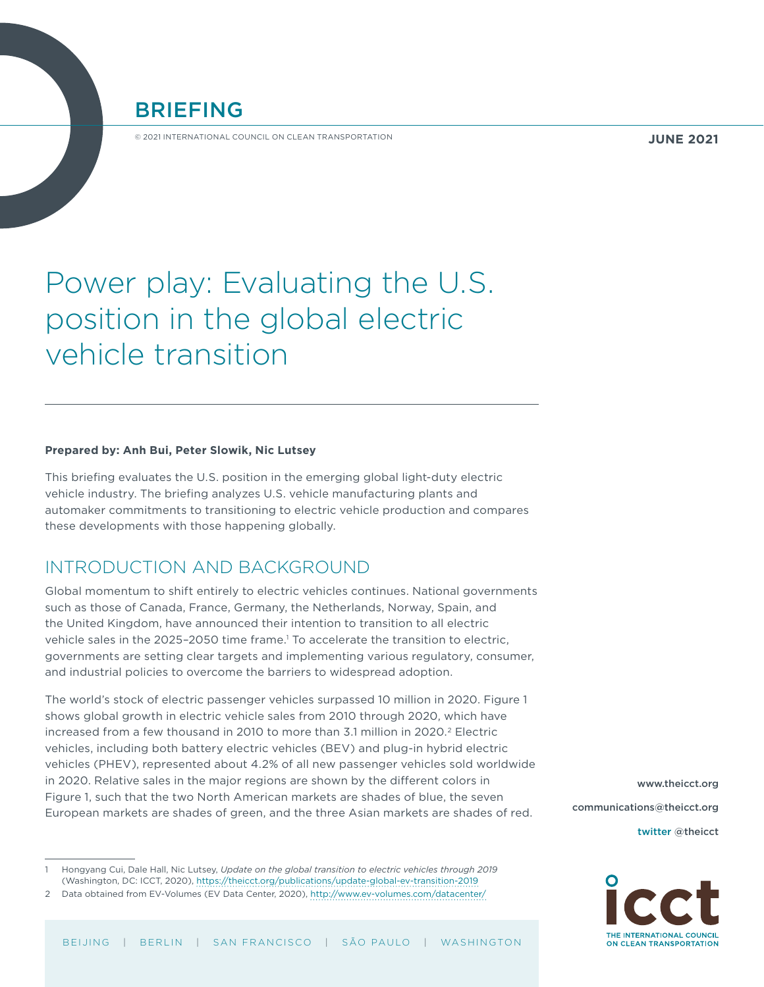

© 2021 INTERNATIONAL COUNCIL ON CLEAN TRANSPORTATION

# Power play: Evaluating the U.S. position in the global electric vehicle transition

#### **Prepared by: Anh Bui, Peter Slowik, Nic Lutsey**

This briefing evaluates the U.S. position in the emerging global light-duty electric vehicle industry. The briefing analyzes U.S. vehicle manufacturing plants and automaker commitments to transitioning to electric vehicle production and compares these developments with those happening globally.

### INTRODUCTION AND BACKGROUND

Global momentum to shift entirely to electric vehicles continues. National governments such as those of Canada, France, Germany, the Netherlands, Norway, Spain, and the United Kingdom, have announced their intention to transition to all electric vehicle sales in the 2025-2050 time frame.<sup>1</sup> To accelerate the transition to electric, governments are setting clear targets and implementing various regulatory, consumer, and industrial policies to overcome the barriers to widespread adoption.

The world's stock of electric passenger vehicles surpassed 10 million in 2020. [Figure 1](#page-1-0)  shows global growth in electric vehicle sales from 2010 through 2020, which have increased from a few thousand in 2010 to more than 3.1 million in 2020.<sup>2</sup> Electric vehicles, including both battery electric vehicles (BEV) and plug-in hybrid electric vehicles (PHEV), represented about 4.2% of all new passenger vehicles sold worldwide in 2020. Relative sales in the major regions are shown by the different colors in [Figure](#page-1-0) 1, such that the two North American markets are shades of blue, the seven European markets are shades of green, and the three Asian markets are shades of red.

1 Hongyang Cui, Dale Hall, Nic Lutsey, *Update on the global transition to electric vehicles through 2019* (Washington, DC: ICCT, 2020), <https://theicct.org/publications/update-global-ev-transition-2019>

[www.theicct.org](http://www.theicct.org) [communications@theicct.org](mailto:communications%40theicct.org%20%20%20%20?subject=)

twitter @[theicct](https://twitter.com/TheICCT)



<sup>2</sup> Data obtained from EV-Volumes (EV Data Center, 2020), <http://www.ev-volumes.com/datacenter/>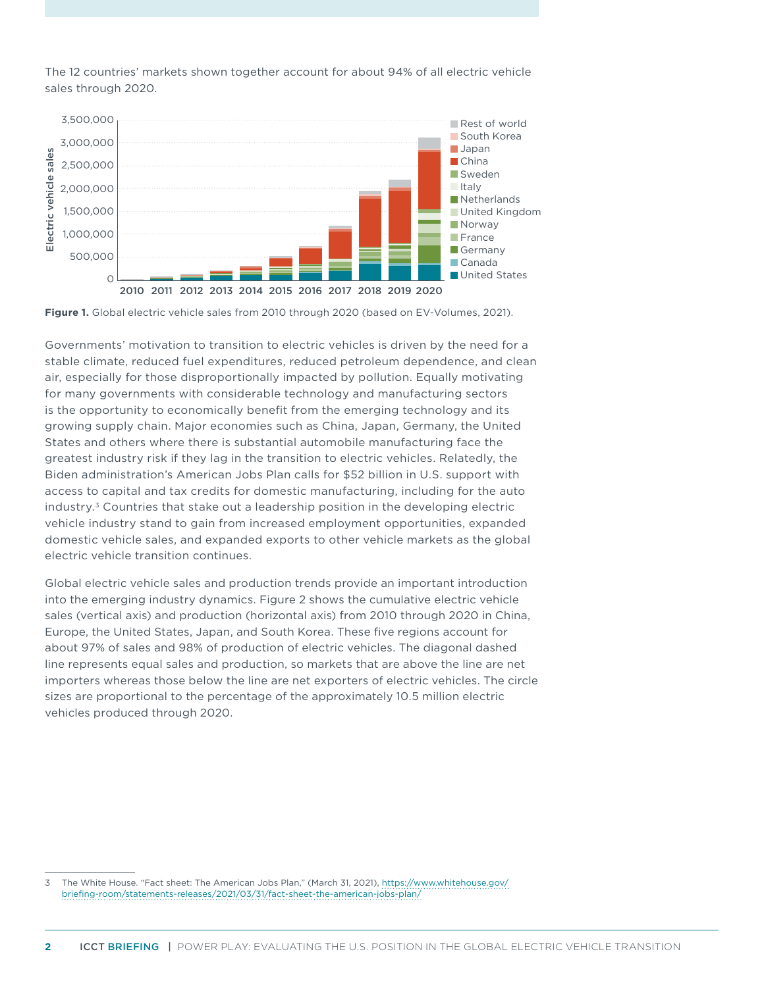The 12 countries' markets shown together account for about 94% of all electric vehicle sales through 2020.



<span id="page-1-0"></span>**Figure 1.** Global electric vehicle sales from 2010 through 2020 (based on EV-Volumes, 2021).

Governments' motivation to transition to electric vehicles is driven by the need for a stable climate, reduced fuel expenditures, reduced petroleum dependence, and clean air, especially for those disproportionally impacted by pollution. Equally motivating for many governments with considerable technology and manufacturing sectors is the opportunity to economically benefit from the emerging technology and its growing supply chain. Major economies such as China, Japan, Germany, the United States and others where there is substantial automobile manufacturing face the greatest industry risk if they lag in the transition to electric vehicles. Relatedly, the Biden administration's American Jobs Plan calls for \$52 billion in U.S. support with access to capital and tax credits for domestic manufacturing, including for the auto industry.3 Countries that stake out a leadership position in the developing electric vehicle industry stand to gain from increased employment opportunities, expanded domestic vehicle sales, and expanded exports to other vehicle markets as the global electric vehicle transition continues.

Global electric vehicle sales and production trends provide an important introduction into the emerging industry dynamics. [Figure 2](#page-2-0) shows the cumulative electric vehicle sales (vertical axis) and production (horizontal axis) from 2010 through 2020 in China, Europe, the United States, Japan, and South Korea. These five regions account for about 97% of sales and 98% of production of electric vehicles. The diagonal dashed line represents equal sales and production, so markets that are above the line are net importers whereas those below the line are net exporters of electric vehicles. The circle sizes are proportional to the percentage of the approximately 10.5 million electric vehicles produced through 2020.

<sup>3</sup> The White House. "Fact sheet: The American Jobs Plan," (March 31, 2021), [https://www.whitehouse.gov/](https://www.whitehouse.gov/briefing-room/statements-releases/2021/03/31/fact-sheet-the-american-jobs-plan/) [briefing-room/statements-releases/2021/03/31/fact-sheet-the-american-jobs-plan/](https://www.whitehouse.gov/briefing-room/statements-releases/2021/03/31/fact-sheet-the-american-jobs-plan/)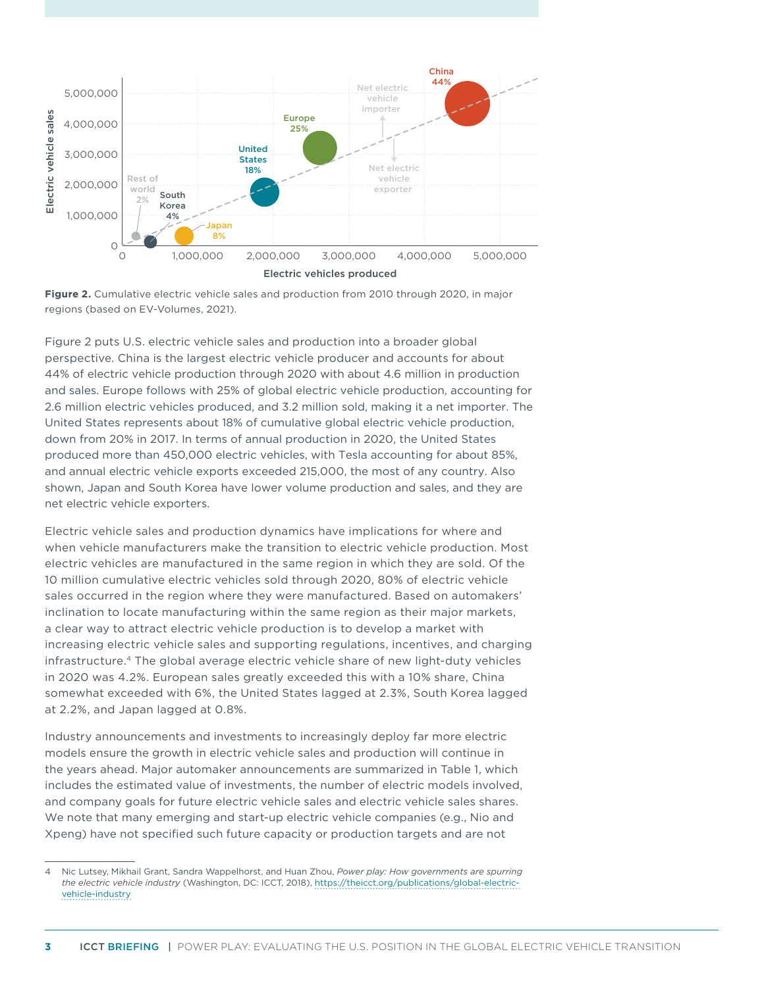

<span id="page-2-0"></span>

Figure 2 puts U.S. electric vehicle sales and production into a broader global perspective. China is the largest electric vehicle producer and accounts for about 44% of electric vehicle production through 2020 with about 4.6 million in production and sales. Europe follows with 25% of global electric vehicle production, accounting for 2.6 million electric vehicles produced, and 3.2 million sold, making it a net importer. The United States represents about 18% of cumulative global electric vehicle production, down from 20% in 2017. In terms of annual production in 2020, the United States produced more than 450,000 electric vehicles, with Tesla accounting for about 85%, and annual electric vehicle exports exceeded 215,000, the most of any country. Also shown, Japan and South Korea have lower volume production and sales, and they are net electric vehicle exporters.

Electric vehicle sales and production dynamics have implications for where and when vehicle manufacturers make the transition to electric vehicle production. Most electric vehicles are manufactured in the same region in which they are sold. Of the 10 million cumulative electric vehicles sold through 2020, 80% of electric vehicle sales occurred in the region where they were manufactured. Based on automakers' inclination to locate manufacturing within the same region as their major markets, a clear way to attract electric vehicle production is to develop a market with increasing electric vehicle sales and supporting regulations, incentives, and charging infrastructure.<sup>4</sup> The global average electric vehicle share of new light-duty vehicles in 2020 was 4.2%. European sales greatly exceeded this with a 10% share, China somewhat exceeded with 6%, the United States lagged at 2.3%, South Korea lagged at 2.2%, and Japan lagged at 0.8%.

Industry announcements and investments to increasingly deploy far more electric models ensure the growth in electric vehicle sales and production will continue in the years ahead. Major automaker announcements are summarized in [Table](#page-3-0) 1, which includes the estimated value of investments, the number of electric models involved, and company goals for future electric vehicle sales and electric vehicle sales shares. We note that many emerging and start-up electric vehicle companies (e.g., Nio and Xpeng) have not specified such future capacity or production targets and are not

<sup>4</sup> Nic Lutsey, Mikhail Grant, Sandra Wappelhorst, and Huan Zhou, *Power play: How governments are spurring the electric vehicle industry* (Washington, DC: ICCT, 2018), [https://theicct.org/publications/global-electric](https://theicct.org/publications/global-electric-vehicle-industry)[vehicle-industry](https://theicct.org/publications/global-electric-vehicle-industry)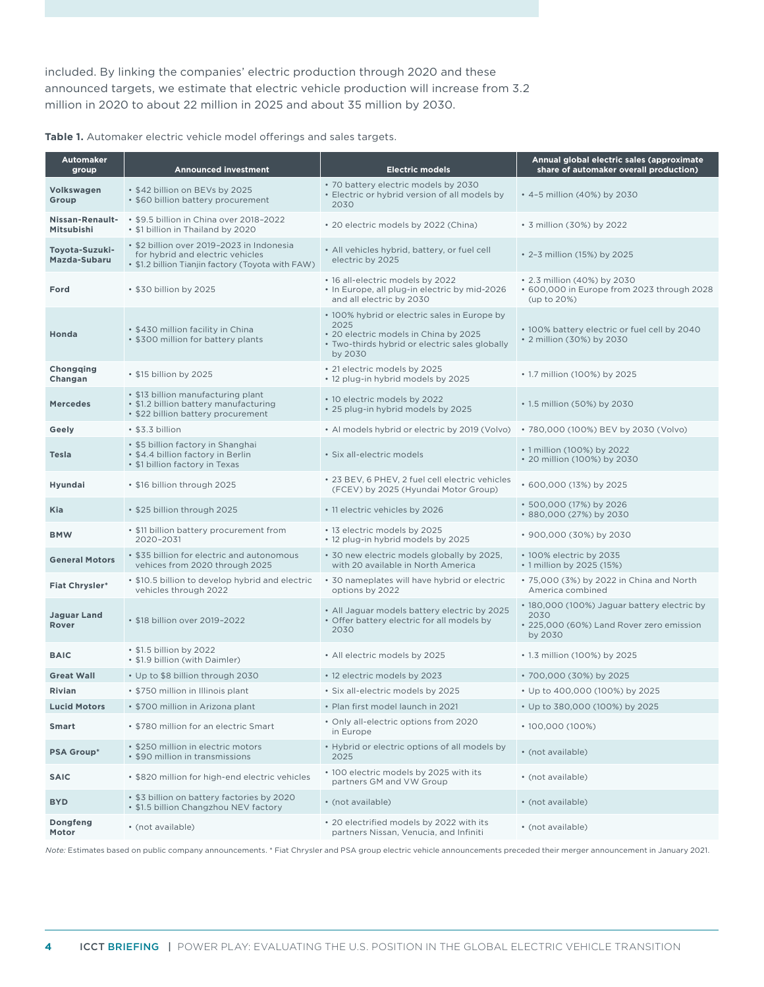included. By linking the companies' electric production through 2020 and these announced targets, we estimate that electric vehicle production will increase from 3.2 million in 2020 to about 22 million in 2025 and about 35 million by 2030.

<span id="page-3-0"></span>

| Table 1. Automaker electric vehicle model offerings and sales targets. |  |  |
|------------------------------------------------------------------------|--|--|

| <b>Automaker</b><br>group      | <b>Announced investment</b>                                                                                                        | <b>Electric models</b>                                                                                                                                     | Annual global electric sales (approximate<br>share of automaker overall production)                        |
|--------------------------------|------------------------------------------------------------------------------------------------------------------------------------|------------------------------------------------------------------------------------------------------------------------------------------------------------|------------------------------------------------------------------------------------------------------------|
| Volkswagen<br>Group            | . \$42 billion on BEVs by 2025<br>• \$60 billion battery procurement                                                               | · 70 battery electric models by 2030<br>• Electric or hybrid version of all models by<br>2030                                                              | • 4-5 million (40%) by 2030                                                                                |
| Nissan-Renault-<br>Mitsubishi  | • \$9.5 billion in China over 2018-2022<br>• \$1 billion in Thailand by 2020                                                       | • 20 electric models by 2022 (China)                                                                                                                       | • 3 million (30%) by 2022                                                                                  |
| Toyota-Suzuki-<br>Mazda-Subaru | • \$2 billion over 2019-2023 in Indonesia<br>for hybrid and electric vehicles<br>• \$1.2 billion Tianjin factory (Toyota with FAW) | • All vehicles hybrid, battery, or fuel cell<br>electric by 2025                                                                                           | • 2-3 million (15%) by 2025                                                                                |
| Ford                           | • \$30 billion by 2025                                                                                                             | • 16 all-electric models by 2022<br>. In Europe, all plug-in electric by mid-2026<br>and all electric by 2030                                              | • 2.3 million (40%) by 2030<br>• 600,000 in Europe from 2023 through 2028<br>(up to 20%)                   |
| Honda                          | • \$430 million facility in China<br>• \$300 million for battery plants                                                            | • 100% hybrid or electric sales in Europe by<br>2025<br>• 20 electric models in China by 2025<br>• Two-thirds hybrid or electric sales globally<br>by 2030 | . 100% battery electric or fuel cell by 2040<br>• 2 million (30%) by 2030                                  |
| Chongqing<br>Changan           | • \$15 billion by 2025                                                                                                             | • 21 electric models by 2025<br>. 12 plug-in hybrid models by 2025                                                                                         | • 1.7 million (100%) by 2025                                                                               |
| <b>Mercedes</b>                | • \$13 billion manufacturing plant<br>• \$1.2 billion battery manufacturing<br>• \$22 billion battery procurement                  | • 10 electric models by 2022<br>. 25 plug-in hybrid models by 2025                                                                                         | • 1.5 million (50%) by 2030                                                                                |
| Geelv                          | • \$3.3 billion                                                                                                                    | • Al models hybrid or electric by 2019 (Volvo)                                                                                                             | • 780,000 (100%) BEV by 2030 (Volvo)                                                                       |
| Tesla                          | • \$5 billion factory in Shanghai<br>• \$4.4 billion factory in Berlin<br>• \$1 billion factory in Texas                           | · Six all-electric models                                                                                                                                  | • 1 million (100%) by 2022<br>• 20 million (100%) by 2030                                                  |
| Hyundai                        | • \$16 billion through 2025                                                                                                        | • 23 BEV, 6 PHEV, 2 fuel cell electric vehicles<br>(FCEV) by 2025 (Hyundai Motor Group)                                                                    | • 600,000 (13%) by 2025                                                                                    |
| Kia                            | · \$25 billion through 2025                                                                                                        | • 11 electric vehicles by 2026                                                                                                                             | • 500,000 (17%) by 2026<br>• 880,000 (27%) by 2030                                                         |
| <b>BMW</b>                     | • \$11 billion battery procurement from<br>2020-2031                                                                               | • 13 electric models by 2025<br>. 12 plug-in hybrid models by 2025                                                                                         | • 900,000 (30%) by 2030                                                                                    |
| <b>General Motors</b>          | • \$35 billion for electric and autonomous<br>vehices from 2020 through 2025                                                       | • 30 new electric models globally by 2025,<br>with 20 available in North America                                                                           | • 100% electric by 2035<br>• 1 million by 2025 (15%)                                                       |
| <b>Fiat Chrysler*</b>          | • \$10.5 billion to develop hybrid and electric<br>vehicles through 2022                                                           | • 30 nameplates will have hybrid or electric<br>options by 2022                                                                                            | • 75,000 (3%) by 2022 in China and North<br>America combined                                               |
| <b>Jaguar Land</b><br>Rover    | • \$18 billion over 2019-2022                                                                                                      | • All Jaguar models battery electric by 2025<br>• Offer battery electric for all models by<br>2030                                                         | • 180,000 (100%) Jaguar battery electric by<br>2030<br>• 225,000 (60%) Land Rover zero emission<br>by 2030 |
| <b>BAIC</b>                    | • \$1.5 billion by 2022<br>• \$1.9 billion (with Daimler)                                                                          | • All electric models by 2025                                                                                                                              | • 1.3 million (100%) by 2025                                                                               |
| <b>Great Wall</b>              | • Up to \$8 billion through 2030                                                                                                   | • 12 electric models by 2023                                                                                                                               | • 700,000 (30%) by 2025                                                                                    |
| Rivian                         | • \$750 million in Illinois plant                                                                                                  | · Six all-electric models by 2025                                                                                                                          | • Up to 400,000 (100%) by 2025                                                                             |
| <b>Lucid Motors</b>            | • \$700 million in Arizona plant                                                                                                   | • Plan first model launch in 2021                                                                                                                          | • Up to 380,000 (100%) by 2025                                                                             |
| Smart                          | • \$780 million for an electric Smart                                                                                              | • Only all-electric options from 2020<br>in Europe                                                                                                         | $\cdot$ 100,000 (100%)                                                                                     |
| <b>PSA Group*</b>              | • \$250 million in electric motors<br>• \$90 million in transmissions                                                              | • Hybrid or electric options of all models by<br>2025                                                                                                      | • (not available)                                                                                          |
| <b>SAIC</b>                    | . \$820 million for high-end electric vehicles                                                                                     | • 100 electric models by 2025 with its<br>partners GM and VW Group                                                                                         | • (not available)                                                                                          |
| <b>BYD</b>                     | • \$3 billion on battery factories by 2020<br>• \$1.5 billion Changzhou NEV factory                                                | • (not available)                                                                                                                                          | • (not available)                                                                                          |
| Dongfeng<br>Motor              | • (not available)                                                                                                                  | • 20 electrified models by 2022 with its<br>partners Nissan, Venucia, and Infiniti                                                                         | • (not available)                                                                                          |

*Note:* Estimates based on public company announcements. \* Fiat Chrysler and PSA group electric vehicle announcements preceded their merger announcement in January 2021.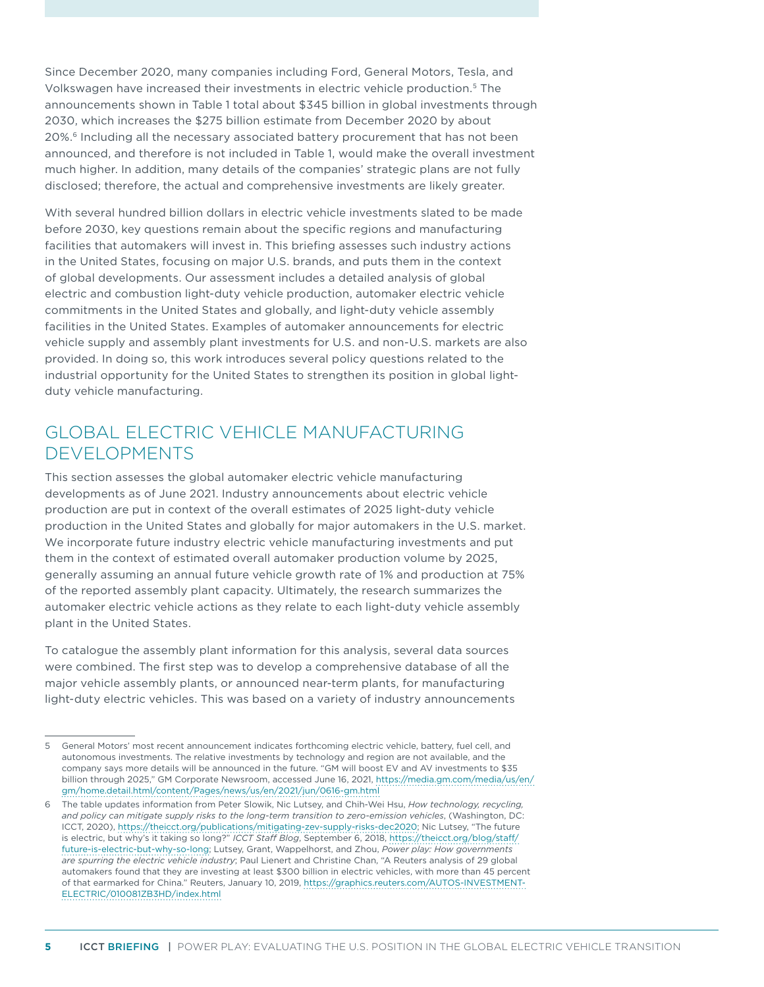Since December 2020, many companies including Ford, General Motors, Tesla, and Volkswagen have increased their investments in electric vehicle production.5 The announcements shown in [Table 1](#page-3-0) total about \$345 billion in global investments through 2030, which increases the \$275 billion estimate from December 2020 by about 20%.<sup>6</sup> Including all the necessary associated battery procurement that has not been announced, and therefore is not included in [Table 1](#page-3-0), would make the overall investment much higher. In addition, many details of the companies' strategic plans are not fully disclosed; therefore, the actual and comprehensive investments are likely greater.

With several hundred billion dollars in electric vehicle investments slated to be made before 2030, key questions remain about the specific regions and manufacturing facilities that automakers will invest in. This briefing assesses such industry actions in the United States, focusing on major U.S. brands, and puts them in the context of global developments. Our assessment includes a detailed analysis of global electric and combustion light-duty vehicle production, automaker electric vehicle commitments in the United States and globally, and light-duty vehicle assembly facilities in the United States. Examples of automaker announcements for electric vehicle supply and assembly plant investments for U.S. and non-U.S. markets are also provided. In doing so, this work introduces several policy questions related to the industrial opportunity for the United States to strengthen its position in global lightduty vehicle manufacturing.

### GLOBAL ELECTRIC VEHICLE MANUFACTURING DEVELOPMENTS

This section assesses the global automaker electric vehicle manufacturing developments as of June 2021. Industry announcements about electric vehicle production are put in context of the overall estimates of 2025 light-duty vehicle production in the United States and globally for major automakers in the U.S. market. We incorporate future industry electric vehicle manufacturing investments and put them in the context of estimated overall automaker production volume by 2025, generally assuming an annual future vehicle growth rate of 1% and production at 75% of the reported assembly plant capacity. Ultimately, the research summarizes the automaker electric vehicle actions as they relate to each light-duty vehicle assembly plant in the United States.

To catalogue the assembly plant information for this analysis, several data sources were combined. The first step was to develop a comprehensive database of all the major vehicle assembly plants, or announced near-term plants, for manufacturing light-duty electric vehicles. This was based on a variety of industry announcements

<sup>5</sup> General Motors' most recent announcement indicates forthcoming electric vehicle, battery, fuel cell, and autonomous investments. The relative investments by technology and region are not available, and the company says more details will be announced in the future. "GM will boost EV and AV investments to \$35 billion through 2025," GM Corporate Newsroom, accessed June 16, 2021, [https://media.gm.com/media/us/en/](https://media.gm.com/media/us/en/gm/home.detail.html/content/Pages/news/us/en/2021/jun/0616-gm.html) [gm/home.detail.html/content/Pages/news/us/en/2021/jun/0616-gm.html](https://media.gm.com/media/us/en/gm/home.detail.html/content/Pages/news/us/en/2021/jun/0616-gm.html)

<sup>6</sup> The table updates information from Peter Slowik, Nic Lutsey, and Chih-Wei Hsu, *How technology, recycling, and policy can mitigate supply risks to the long-term transition to zero-emission vehicles*, (Washington, DC: ICCT, 2020), <https://theicct.org/publications/mitigating-zev-supply-risks-dec2020>; Nic Lutsey, "The future is electric, but why's it taking so long?" *ICCT Staff Blog*, September 6, 2018, [https://theicct.org/blog/staff/](https://theicct.org/blog/staff/future-is-electric-but-why-so-long) [future-is-electric-but-why-so-long;](https://theicct.org/blog/staff/future-is-electric-but-why-so-long) Lutsey, Grant, Wappelhorst, and Zhou, *Power play: How governments are spurring the electric vehicle industry*; Paul Lienert and Christine Chan, "A Reuters analysis of 29 global automakers found that they are investing at least \$300 billion in electric vehicles, with more than 45 percent of that earmarked for China." Reuters, January 10, 2019, [https://graphics.reuters.com/AUTOS-INVESTMENT-](https://graphics.reuters.com/AUTOS-INVESTMENT-ELECTRIC/010081ZB3HD/index.html)[ELECTRIC/010081ZB3HD/index.html](https://graphics.reuters.com/AUTOS-INVESTMENT-ELECTRIC/010081ZB3HD/index.html)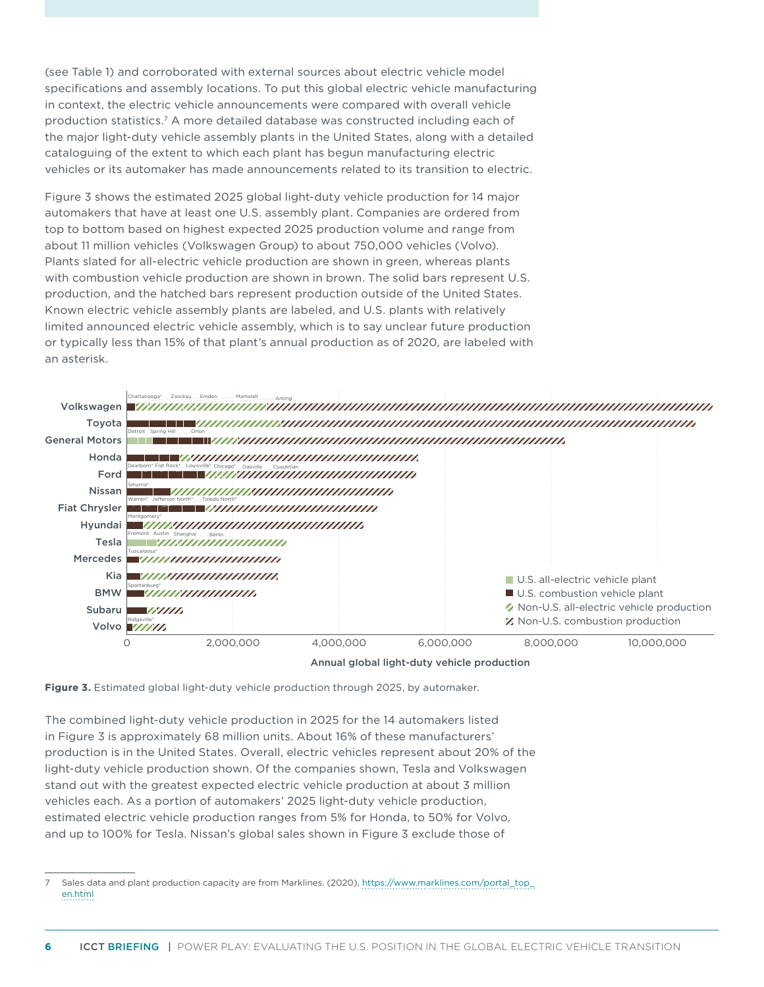(see [Table 1](#page-3-0)) and corroborated with external sources about electric vehicle model specifications and assembly locations. To put this global electric vehicle manufacturing in context, the electric vehicle announcements were compared with overall vehicle production statistics.7 A more detailed database was constructed including each of the major light-duty vehicle assembly plants in the United States, along with a detailed cataloguing of the extent to which each plant has begun manufacturing electric vehicles or its automaker has made announcements related to its transition to electric.

Figure 3 shows the estimated 2025 global light-duty vehicle production for 14 major automakers that have at least one U.S. assembly plant. Companies are ordered from top to bottom based on highest expected 2025 production volume and range from about 11 million vehicles (Volkswagen Group) to about 750,000 vehicles (Volvo). Plants slated for all-electric vehicle production are shown in green, whereas plants with combustion vehicle production are shown in brown. The solid bars represent U.S. production, and the hatched bars represent production outside of the United States. Known electric vehicle assembly plants are labeled, and U.S. plants with relatively limited announced electric vehicle assembly, which is to say unclear future production or typically less than 15% of that plant's annual production as of 2020, are labeled with an asterisk.

<span id="page-5-0"></span>



The combined light-duty vehicle production in 2025 for the 14 automakers listed in [Figure](#page-5-0) 3 is approximately 68 million units. About 16% of these manufacturers' production is in the United States. Overall, electric vehicles represent about 20% of the light-duty vehicle production shown. Of the companies shown, Tesla and Volkswagen stand out with the greatest expected electric vehicle production at about 3 million vehicles each. As a portion of automakers' 2025 light-duty vehicle production, estimated electric vehicle production ranges from 5% for Honda, to 50% for Volvo, and up to 100% for Tesla. Nissan's global sales shown in Figure 3 exclude those of

<sup>7</sup> Sales data and plant production capacity are from Marklines. (2020), [https://www.marklines.com/portal\\_top\\_](https://www.marklines.com/portal_top_en.html) [en.html](https://www.marklines.com/portal_top_en.html)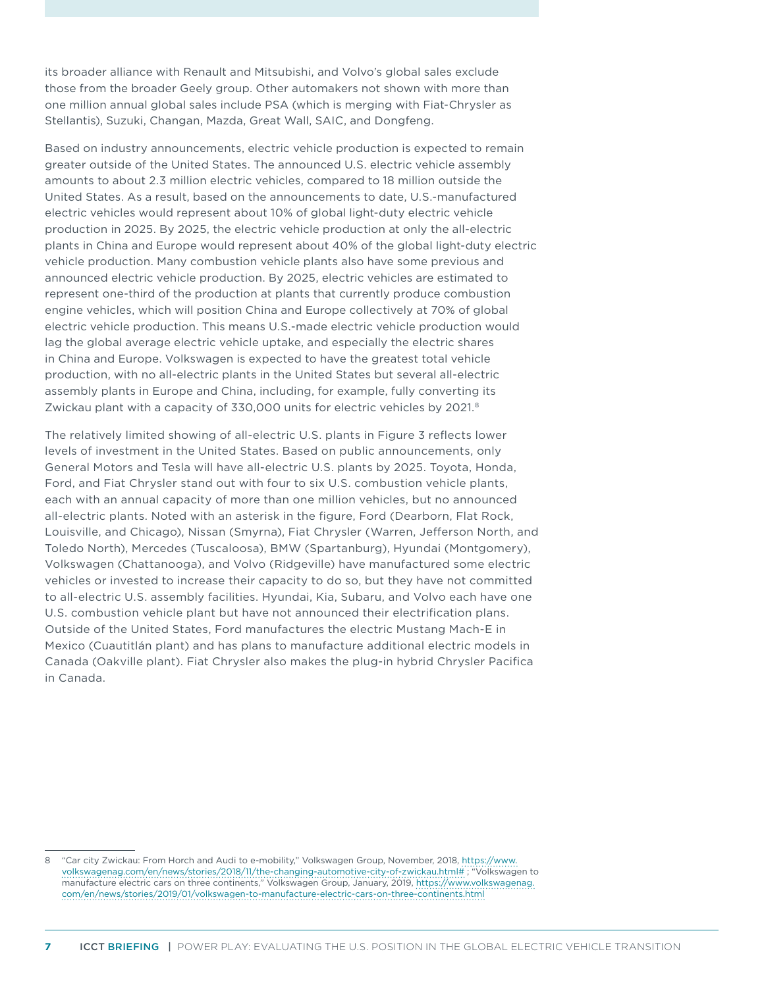its broader alliance with Renault and Mitsubishi, and Volvo's global sales exclude those from the broader Geely group. Other automakers not shown with more than one million annual global sales include PSA (which is merging with Fiat-Chrysler as Stellantis), Suzuki, Changan, Mazda, Great Wall, SAIC, and Dongfeng.

Based on industry announcements, electric vehicle production is expected to remain greater outside of the United States. The announced U.S. electric vehicle assembly amounts to about 2.3 million electric vehicles, compared to 18 million outside the United States. As a result, based on the announcements to date, U.S.-manufactured electric vehicles would represent about 10% of global light-duty electric vehicle production in 2025. By 2025, the electric vehicle production at only the all-electric plants in China and Europe would represent about 40% of the global light-duty electric vehicle production. Many combustion vehicle plants also have some previous and announced electric vehicle production. By 2025, electric vehicles are estimated to represent one-third of the production at plants that currently produce combustion engine vehicles, which will position China and Europe collectively at 70% of global electric vehicle production. This means U.S.-made electric vehicle production would lag the global average electric vehicle uptake, and especially the electric shares in China and Europe. Volkswagen is expected to have the greatest total vehicle production, with no all-electric plants in the United States but several all-electric assembly plants in Europe and China, including, for example, fully converting its Zwickau plant with a capacity of 330,000 units for electric vehicles by 2021.<sup>8</sup>

The relatively limited showing of all-electric U.S. plants in [Figure](#page-5-0) 3 reflects lower levels of investment in the United States. Based on public announcements, only General Motors and Tesla will have all-electric U.S. plants by 2025. Toyota, Honda, Ford, and Fiat Chrysler stand out with four to six U.S. combustion vehicle plants, each with an annual capacity of more than one million vehicles, but no announced all-electric plants. Noted with an asterisk in the figure, Ford (Dearborn, Flat Rock, Louisville, and Chicago), Nissan (Smyrna), Fiat Chrysler (Warren, Jefferson North, and Toledo North), Mercedes (Tuscaloosa), BMW (Spartanburg), Hyundai (Montgomery), Volkswagen (Chattanooga), and Volvo (Ridgeville) have manufactured some electric vehicles or invested to increase their capacity to do so, but they have not committed to all-electric U.S. assembly facilities. Hyundai, Kia, Subaru, and Volvo each have one U.S. combustion vehicle plant but have not announced their electrification plans. Outside of the United States, Ford manufactures the electric Mustang Mach-E in Mexico (Cuautitlán plant) and has plans to manufacture additional electric models in Canada (Oakville plant). Fiat Chrysler also makes the plug-in hybrid Chrysler Pacifica in Canada.

<sup>8</sup> "Car city Zwickau: From Horch and Audi to e-mobility," Volkswagen Group, November, 2018, [https://www.](https://www.volkswagenag.com/en/news/stories/2018/11/the-changing-automotive-city-of-zwickau.html) [volkswagenag.com/en/news/stories/2018/11/the-changing-automotive-city-of-zwickau.html#](https://www.volkswagenag.com/en/news/stories/2018/11/the-changing-automotive-city-of-zwickau.html) ; "Volkswagen to manufacture electric cars on three continents," Volkswagen Group, January, 2019, [https://www.volkswagenag.](https://www.volkswagenag.com/en/news/stories/2019/01/volkswagen-to-manufacture-electric-cars-on-three-continents.html) [com/en/news/stories/2019/01/volkswagen-to-manufacture-electric-cars-on-three-continents.html](https://www.volkswagenag.com/en/news/stories/2019/01/volkswagen-to-manufacture-electric-cars-on-three-continents.html)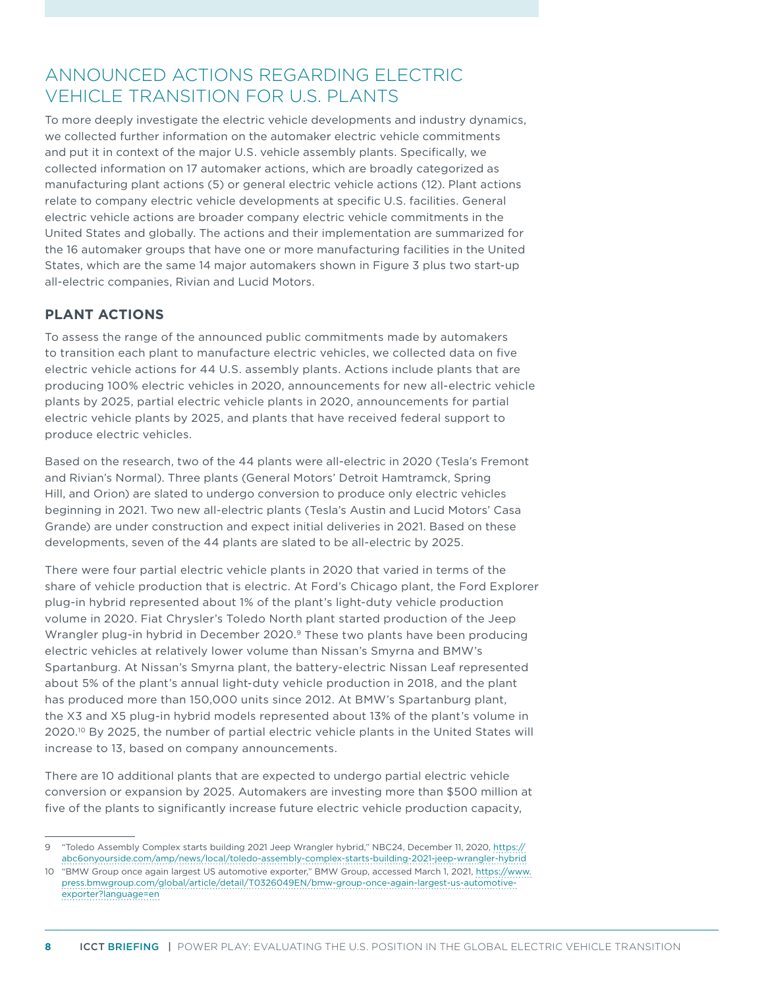## ANNOUNCED ACTIONS REGARDING ELECTRIC VEHICLE TRANSITION FOR U.S. PLANTS

To more deeply investigate the electric vehicle developments and industry dynamics, we collected further information on the automaker electric vehicle commitments and put it in context of the major U.S. vehicle assembly plants. Specifically, we collected information on 17 automaker actions, which are broadly categorized as manufacturing plant actions (5) or general electric vehicle actions (12). Plant actions relate to company electric vehicle developments at specific U.S. facilities. General electric vehicle actions are broader company electric vehicle commitments in the United States and globally. The actions and their implementation are summarized for the 16 automaker groups that have one or more manufacturing facilities in the United States, which are the same 14 major automakers shown in [Figure 3](#page-5-0) plus two start-up all-electric companies, Rivian and Lucid Motors.

### **PLANT ACTIONS**

To assess the range of the announced public commitments made by automakers to transition each plant to manufacture electric vehicles, we collected data on five electric vehicle actions for 44 U.S. assembly plants. Actions include plants that are producing 100% electric vehicles in 2020, announcements for new all-electric vehicle plants by 2025, partial electric vehicle plants in 2020, announcements for partial electric vehicle plants by 2025, and plants that have received federal support to produce electric vehicles.

Based on the research, two of the 44 plants were all-electric in 2020 (Tesla's Fremont and Rivian's Normal). Three plants (General Motors' Detroit Hamtramck, Spring Hill, and Orion) are slated to undergo conversion to produce only electric vehicles beginning in 2021. Two new all-electric plants (Tesla's Austin and Lucid Motors' Casa Grande) are under construction and expect initial deliveries in 2021. Based on these developments, seven of the 44 plants are slated to be all-electric by 2025.

There were four partial electric vehicle plants in 2020 that varied in terms of the share of vehicle production that is electric. At Ford's Chicago plant, the Ford Explorer plug-in hybrid represented about 1% of the plant's light-duty vehicle production volume in 2020. Fiat Chrysler's Toledo North plant started production of the Jeep Wrangler plug-in hybrid in December 2020.<sup>9</sup> These two plants have been producing electric vehicles at relatively lower volume than Nissan's Smyrna and BMW's Spartanburg. At Nissan's Smyrna plant, the battery-electric Nissan Leaf represented about 5% of the plant's annual light-duty vehicle production in 2018, and the plant has produced more than 150,000 units since 2012. At BMW's Spartanburg plant, the X3 and X5 plug-in hybrid models represented about 13% of the plant's volume in 2020.10 By 2025, the number of partial electric vehicle plants in the United States will increase to 13, based on company announcements.

There are 10 additional plants that are expected to undergo partial electric vehicle conversion or expansion by 2025. Automakers are investing more than \$500 million at five of the plants to significantly increase future electric vehicle production capacity,

<sup>9</sup> "Toledo Assembly Complex starts building 2021 Jeep Wrangler hybrid," NBC24, December 11, 2020, [https://](https://abc6onyourside.com/amp/news/local/toledo-assembly-complex-starts-building-2021-jeep-wrangler-hybrid) [abc6onyourside.com/amp/news/local/toledo-assembly-complex-starts-building-2021-jeep-wrangler-hybrid](https://abc6onyourside.com/amp/news/local/toledo-assembly-complex-starts-building-2021-jeep-wrangler-hybrid)

<sup>10</sup> "BMW Group once again largest US automotive exporter," BMW Group, accessed March 1, 2021, [https://www.](https://www.press.bmwgroup.com/global/article/detail/T0326049EN/bmw-group-once-again-largest-us-automotive-exporter?language=en) [press.bmwgroup.com/global/article/detail/T0326049EN/bmw-group-once-again-largest-us-automotive](https://www.press.bmwgroup.com/global/article/detail/T0326049EN/bmw-group-once-again-largest-us-automotive-exporter?language=en)[exporter?language=en](https://www.press.bmwgroup.com/global/article/detail/T0326049EN/bmw-group-once-again-largest-us-automotive-exporter?language=en)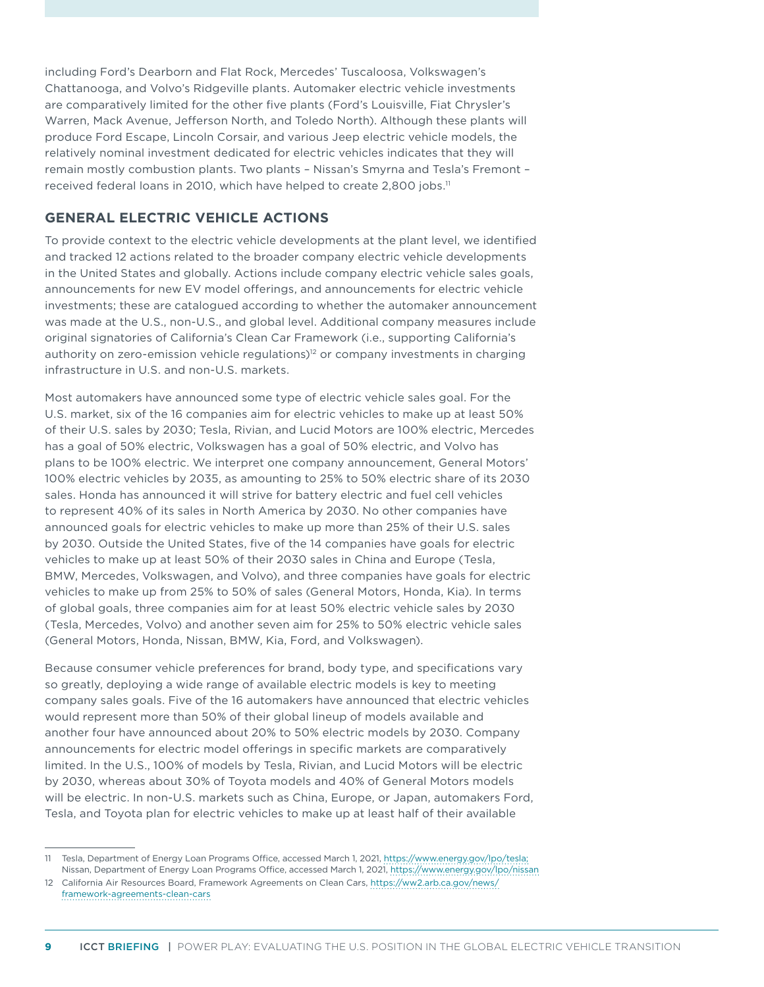including Ford's Dearborn and Flat Rock, Mercedes' Tuscaloosa, Volkswagen's Chattanooga, and Volvo's Ridgeville plants. Automaker electric vehicle investments are comparatively limited for the other five plants (Ford's Louisville, Fiat Chrysler's Warren, Mack Avenue, Jefferson North, and Toledo North). Although these plants will produce Ford Escape, Lincoln Corsair, and various Jeep electric vehicle models, the relatively nominal investment dedicated for electric vehicles indicates that they will remain mostly combustion plants. Two plants – Nissan's Smyrna and Tesla's Fremont – received federal loans in 2010, which have helped to create 2,800 jobs.<sup>11</sup>

### **GENERAL ELECTRIC VEHICLE ACTIONS**

To provide context to the electric vehicle developments at the plant level, we identified and tracked 12 actions related to the broader company electric vehicle developments in the United States and globally. Actions include company electric vehicle sales goals, announcements for new EV model offerings, and announcements for electric vehicle investments; these are catalogued according to whether the automaker announcement was made at the U.S., non-U.S., and global level. Additional company measures include original signatories of California's Clean Car Framework (i.e., supporting California's authority on zero-emission vehicle regulations)<sup>12</sup> or company investments in charging infrastructure in U.S. and non-U.S. markets.

Most automakers have announced some type of electric vehicle sales goal. For the U.S. market, six of the 16 companies aim for electric vehicles to make up at least 50% of their U.S. sales by 2030; Tesla, Rivian, and Lucid Motors are 100% electric, Mercedes has a goal of 50% electric, Volkswagen has a goal of 50% electric, and Volvo has plans to be 100% electric. We interpret one company announcement, General Motors' 100% electric vehicles by 2035, as amounting to 25% to 50% electric share of its 2030 sales. Honda has announced it will strive for battery electric and fuel cell vehicles to represent 40% of its sales in North America by 2030. No other companies have announced goals for electric vehicles to make up more than 25% of their U.S. sales by 2030. Outside the United States, five of the 14 companies have goals for electric vehicles to make up at least 50% of their 2030 sales in China and Europe (Tesla, BMW, Mercedes, Volkswagen, and Volvo), and three companies have goals for electric vehicles to make up from 25% to 50% of sales (General Motors, Honda, Kia). In terms of global goals, three companies aim for at least 50% electric vehicle sales by 2030 (Tesla, Mercedes, Volvo) and another seven aim for 25% to 50% electric vehicle sales (General Motors, Honda, Nissan, BMW, Kia, Ford, and Volkswagen).

Because consumer vehicle preferences for brand, body type, and specifications vary so greatly, deploying a wide range of available electric models is key to meeting company sales goals. Five of the 16 automakers have announced that electric vehicles would represent more than 50% of their global lineup of models available and another four have announced about 20% to 50% electric models by 2030. Company announcements for electric model offerings in specific markets are comparatively limited. In the U.S., 100% of models by Tesla, Rivian, and Lucid Motors will be electric by 2030, whereas about 30% of Toyota models and 40% of General Motors models will be electric. In non-U.S. markets such as China, Europe, or Japan, automakers Ford, Tesla, and Toyota plan for electric vehicles to make up at least half of their available

<sup>11</sup> Tesla, Department of Energy Loan Programs Office, accessed March 1, 2021, [https://www.energy.gov/lpo/tesla;](https://www.energy.gov/lpo/tesla) Nissan, Department of Energy Loan Programs Office, accessed March 1, 2021,<https://www.energy.gov/lpo/nissan>

<sup>12</sup> California Air Resources Board, Framework Agreements on Clean Cars, [https://ww2.arb.ca.gov/news/](https://ww2.arb.ca.gov/news/framework-agreements-clean-cars) [framework-agreements-clean-cars](https://ww2.arb.ca.gov/news/framework-agreements-clean-cars)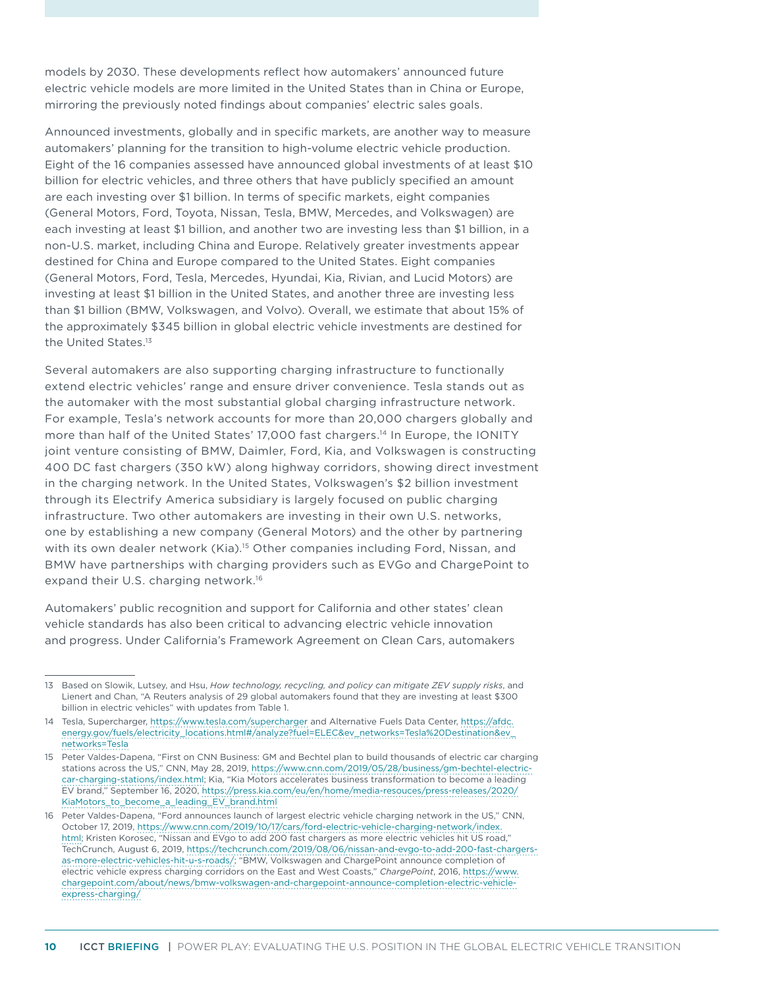models by 2030. These developments reflect how automakers' announced future electric vehicle models are more limited in the United States than in China or Europe, mirroring the previously noted findings about companies' electric sales goals.

Announced investments, globally and in specific markets, are another way to measure automakers' planning for the transition to high-volume electric vehicle production. Eight of the 16 companies assessed have announced global investments of at least \$10 billion for electric vehicles, and three others that have publicly specified an amount are each investing over \$1 billion. In terms of specific markets, eight companies (General Motors, Ford, Toyota, Nissan, Tesla, BMW, Mercedes, and Volkswagen) are each investing at least \$1 billion, and another two are investing less than \$1 billion, in a non-U.S. market, including China and Europe. Relatively greater investments appear destined for China and Europe compared to the United States. Eight companies (General Motors, Ford, Tesla, Mercedes, Hyundai, Kia, Rivian, and Lucid Motors) are investing at least \$1 billion in the United States, and another three are investing less than \$1 billion (BMW, Volkswagen, and Volvo). Overall, we estimate that about 15% of the approximately \$345 billion in global electric vehicle investments are destined for the United States.<sup>13</sup>

Several automakers are also supporting charging infrastructure to functionally extend electric vehicles' range and ensure driver convenience. Tesla stands out as the automaker with the most substantial global charging infrastructure network. For example, Tesla's network accounts for more than 20,000 chargers globally and more than half of the United States' 17,000 fast chargers.<sup>14</sup> In Europe, the IONITY joint venture consisting of BMW, Daimler, Ford, Kia, and Volkswagen is constructing 400 DC fast chargers (350 kW) along highway corridors, showing direct investment in the charging network. In the United States, Volkswagen's \$2 billion investment through its Electrify America subsidiary is largely focused on public charging infrastructure. Two other automakers are investing in their own U.S. networks, one by establishing a new company (General Motors) and the other by partnering with its own dealer network (Kia).<sup>15</sup> Other companies including Ford, Nissan, and BMW have partnerships with charging providers such as EVGo and ChargePoint to expand their U.S. charging network.<sup>16</sup>

Automakers' public recognition and support for California and other states' clean vehicle standards has also been critical to advancing electric vehicle innovation and progress. Under California's Framework Agreement on Clean Cars, automakers

<sup>13</sup> Based on Slowik, Lutsey, and Hsu, *How technology, recycling, and policy can mitigate ZEV supply risks*, and Lienert and Chan, "A Reuters analysis of 29 global automakers found that they are investing at least \$300 billion in electric vehicles" with updates from [Table](#page-3-0) 1.

<sup>14</sup> Tesla, Supercharger, <https://www.tesla.com/supercharger>and Alternative Fuels Data Center, [https://afdc.](https://afdc.energy.gov/fuels/electricity_locations.html#/analyze?fuel=ELEC&ev_networks=Tesla Destination&ev_networks=Tesla) [energy.gov/fuels/electricity\\_locations.html#/analyze?fuel=ELEC&ev\\_networks=Tesla%20Destination&ev\\_](https://afdc.energy.gov/fuels/electricity_locations.html#/analyze?fuel=ELEC&ev_networks=Tesla Destination&ev_networks=Tesla) [networks=Tesla](https://afdc.energy.gov/fuels/electricity_locations.html#/analyze?fuel=ELEC&ev_networks=Tesla Destination&ev_networks=Tesla) 

<sup>15</sup> Peter Valdes-Dapena, "First on CNN Business: GM and Bechtel plan to build thousands of electric car charging stations across the US," CNN, May 28, 2019, [https://www.cnn.com/2019/05/28/business/gm-bechtel-electric](https://www.cnn.com/2019/05/28/business/gm-bechtel-electric-car-charging-stations/index.html)[car-charging-stations/index.html](https://www.cnn.com/2019/05/28/business/gm-bechtel-electric-car-charging-stations/index.html); Kia, "Kia Motors accelerates business transformation to become a leading EV brand," September 16, 2020, [https://press.kia.com/eu/en/home/media-resouces/press-releases/2020/](https://press.kia.com/eu/en/home/media-resouces/press-releases/2020/KiaMotors_to_become_a_leading_EV_brand.html) [KiaMotors\\_to\\_become\\_a\\_leading\\_EV\\_brand.html](https://press.kia.com/eu/en/home/media-resouces/press-releases/2020/KiaMotors_to_become_a_leading_EV_brand.html)

<sup>16</sup> Peter Valdes-Dapena, "Ford announces launch of largest electric vehicle charging network in the US," CNN, October 17, 2019, [https://www.cnn.com/2019/10/17/cars/ford-electric-vehicle-charging-network/index.](https://www.cnn.com/2019/10/17/cars/ford-electric-vehicle-charging-network/index.html) [html](https://www.cnn.com/2019/10/17/cars/ford-electric-vehicle-charging-network/index.html); Kristen Korosec, "Nissan and EVgo to add 200 fast chargers as more electric vehicles hit US road," TechCrunch, August 6, 2019, [https://techcrunch.com/2019/08/06/nissan-and-evgo-to-add-200-fast-chargers](https://techcrunch.com/2019/08/06/nissan-and-evgo-to-add-200-fast-chargers-as-more-electric-vehicles-hit-u-s-roads/)[as-more-electric-vehicles-hit-u-s-roads/;](https://techcrunch.com/2019/08/06/nissan-and-evgo-to-add-200-fast-chargers-as-more-electric-vehicles-hit-u-s-roads/) "BMW, Volkswagen and ChargePoint announce completion of electric vehicle express charging corridors on the East and West Coasts," *ChargePoint*, 2016, [https://www.](https://www.chargepoint.com/about/news/bmw-volkswagen-and-chargepoint-announce-completion-electric-vehicle-express-charging/) [chargepoint.com/about/news/bmw-volkswagen-and-chargepoint-announce-completion-electric-vehicle](https://www.chargepoint.com/about/news/bmw-volkswagen-and-chargepoint-announce-completion-electric-vehicle-express-charging/)[express-charging/](https://www.chargepoint.com/about/news/bmw-volkswagen-and-chargepoint-announce-completion-electric-vehicle-express-charging/)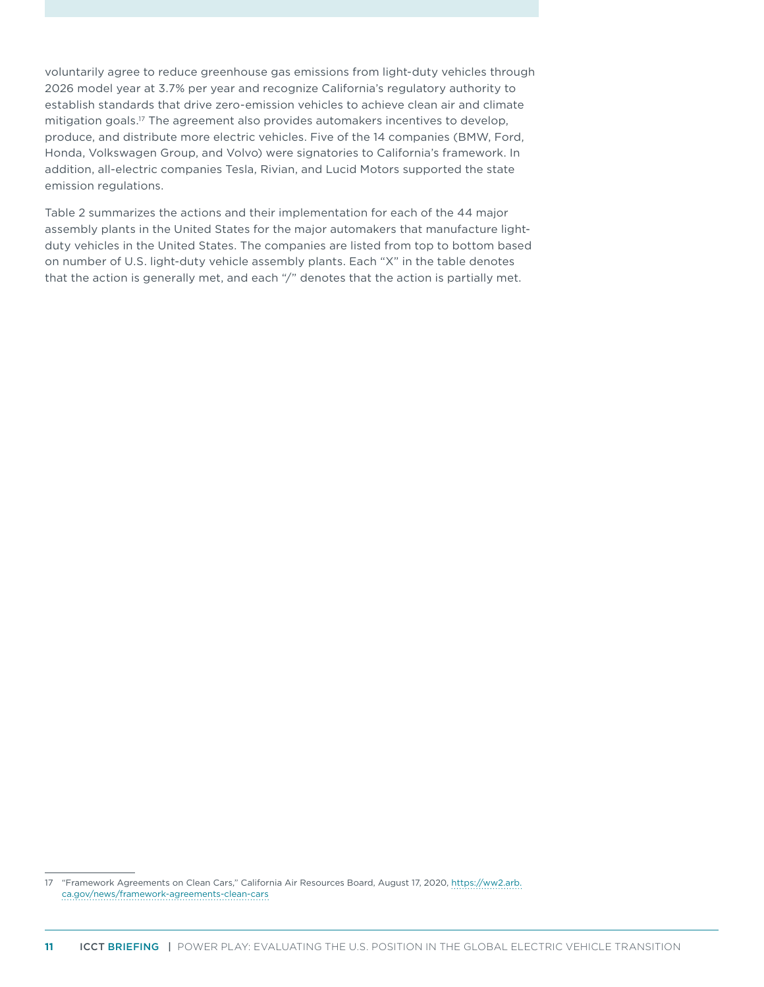voluntarily agree to reduce greenhouse gas emissions from light-duty vehicles through 2026 model year at 3.7% per year and recognize California's regulatory authority to establish standards that drive zero-emission vehicles to achieve clean air and climate mitigation goals.17 The agreement also provides automakers incentives to develop, produce, and distribute more electric vehicles. Five of the 14 companies (BMW, Ford, Honda, Volkswagen Group, and Volvo) were signatories to California's framework. In addition, all-electric companies Tesla, Rivian, and Lucid Motors supported the state emission regulations.

[Table 2](#page-11-0) summarizes the actions and their implementation for each of the 44 major assembly plants in the United States for the major automakers that manufacture lightduty vehicles in the United States. The companies are listed from top to bottom based on number of U.S. light-duty vehicle assembly plants. Each "X" in the table denotes that the action is generally met, and each "/" denotes that the action is partially met.

<sup>17</sup> "Framework Agreements on Clean Cars," California Air Resources Board, August 17, 2020, [https://ww2.arb.](https://ww2.arb.ca.gov/news/framework-agreements-clean-cars) [ca.gov/news/framework-agreements-clean-cars](https://ww2.arb.ca.gov/news/framework-agreements-clean-cars)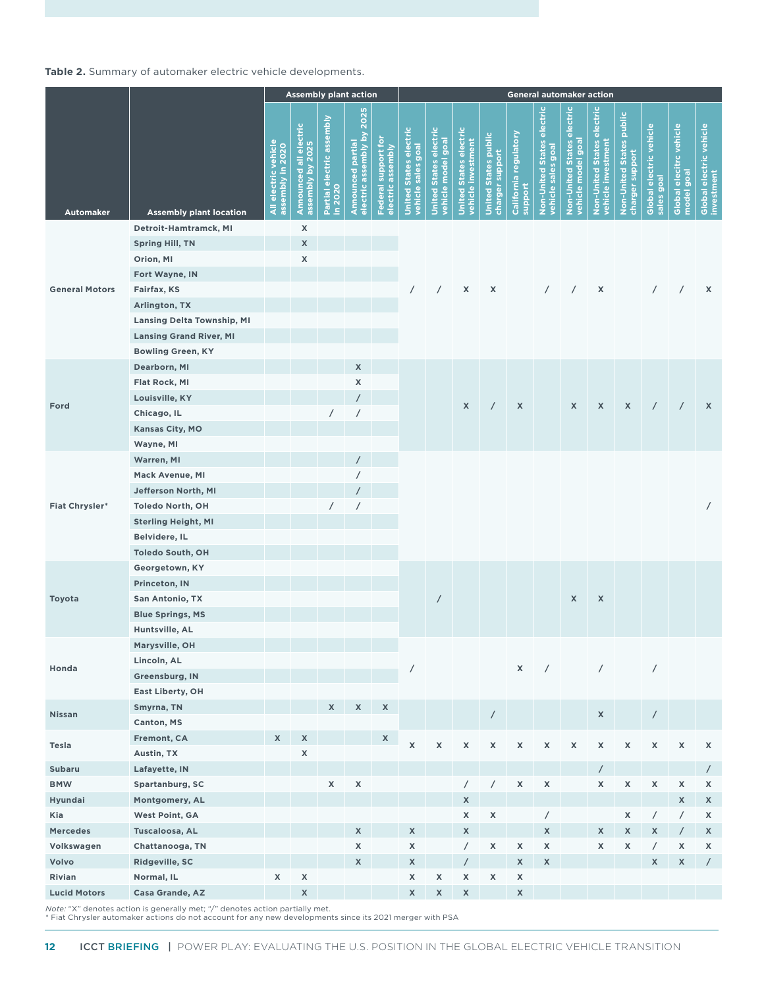#### <span id="page-11-0"></span>**Table 2.** Summary of automaker electric vehicle developments.

|                       |                                   | <b>Assembly plant action</b>             |                                            |                                      |                                                   |                                          | General automaker action                     |                                              |                                                      |                                                |                                  |                                                  |                                                 |                                                         |                                             |                                       |                                       |                                       |
|-----------------------|-----------------------------------|------------------------------------------|--------------------------------------------|--------------------------------------|---------------------------------------------------|------------------------------------------|----------------------------------------------|----------------------------------------------|------------------------------------------------------|------------------------------------------------|----------------------------------|--------------------------------------------------|-------------------------------------------------|---------------------------------------------------------|---------------------------------------------|---------------------------------------|---------------------------------------|---------------------------------------|
| <b>Automaker</b>      | <b>Assembly plant location</b>    | All electric vehicle<br>assembly in 2020 | Announced all electric<br>assembly by 2025 | Partial electric assembly<br>in 2020 | 2025<br>electric assembly by<br>Announced partial | Federal support for<br>electric assembly | United States electric<br>vehicle sales goal | United States electric<br>vehicle model goal | <b>United States electric<br/>vehicle investment</b> | <b>United States public</b><br>charger support | California regulatory<br>support | Non-United States electric<br>vehicle sales goal | Non-United States electric<br>vehicle model goa | <b>Non-United States electric</b><br>vehicle investment | Non-United States public<br>charger support | Global electric vehicle<br>sales goal | Global elecitrc vehicle<br>model goal | Global electric vehicle<br>investment |
|                       | Detroit-Hamtramck, MI             |                                          | X                                          |                                      |                                                   |                                          |                                              |                                              |                                                      |                                                |                                  |                                                  |                                                 |                                                         |                                             |                                       |                                       |                                       |
|                       | <b>Spring Hill, TN</b>            |                                          | X                                          |                                      |                                                   |                                          |                                              |                                              |                                                      |                                                |                                  |                                                  |                                                 |                                                         |                                             |                                       |                                       |                                       |
|                       | Orion, MI                         |                                          | X                                          |                                      |                                                   |                                          |                                              |                                              |                                                      |                                                |                                  |                                                  |                                                 |                                                         |                                             |                                       |                                       |                                       |
|                       | Fort Wayne, IN                    |                                          |                                            |                                      |                                                   |                                          |                                              |                                              |                                                      |                                                |                                  |                                                  |                                                 |                                                         |                                             |                                       |                                       |                                       |
| <b>General Motors</b> | Fairfax, KS                       |                                          |                                            |                                      |                                                   |                                          | $\sqrt{2}$                                   | $\sqrt{2}$                                   | $\pmb{\chi}$                                         | X                                              |                                  | $\sqrt{2}$                                       |                                                 | X                                                       |                                             | $\sqrt{2}$                            | $\sqrt{2}$                            | X                                     |
|                       | Arlington, TX                     |                                          |                                            |                                      |                                                   |                                          |                                              |                                              |                                                      |                                                |                                  |                                                  |                                                 |                                                         |                                             |                                       |                                       |                                       |
|                       | <b>Lansing Delta Township, MI</b> |                                          |                                            |                                      |                                                   |                                          |                                              |                                              |                                                      |                                                |                                  |                                                  |                                                 |                                                         |                                             |                                       |                                       |                                       |
|                       | <b>Lansing Grand River, MI</b>    |                                          |                                            |                                      |                                                   |                                          |                                              |                                              |                                                      |                                                |                                  |                                                  |                                                 |                                                         |                                             |                                       |                                       |                                       |
|                       | <b>Bowling Green, KY</b>          |                                          |                                            |                                      |                                                   |                                          |                                              |                                              |                                                      |                                                |                                  |                                                  |                                                 |                                                         |                                             |                                       |                                       |                                       |
|                       | Dearborn, MI                      |                                          |                                            |                                      | $\mathsf{x}$                                      |                                          |                                              |                                              |                                                      |                                                |                                  |                                                  |                                                 |                                                         |                                             |                                       |                                       |                                       |
|                       | Flat Rock, MI                     |                                          |                                            |                                      | X                                                 |                                          |                                              |                                              |                                                      |                                                |                                  |                                                  |                                                 |                                                         |                                             |                                       |                                       |                                       |
|                       | Louisville, KY                    |                                          |                                            |                                      | $\prime$                                          |                                          |                                              |                                              |                                                      |                                                |                                  |                                                  |                                                 |                                                         |                                             |                                       |                                       |                                       |
| Ford                  | Chicago, IL                       |                                          |                                            | $\prime$                             | $\overline{\phantom{a}}$                          |                                          |                                              |                                              | $\pmb{\mathsf{X}}$                                   | $\overline{\phantom{a}}$                       | $\pmb{\mathsf{X}}$               |                                                  | X                                               | X                                                       | X                                           | $\prime$                              | $\prime$                              | $\mathsf{x}$                          |
|                       | Kansas City, MO                   |                                          |                                            |                                      |                                                   |                                          |                                              |                                              |                                                      |                                                |                                  |                                                  |                                                 |                                                         |                                             |                                       |                                       |                                       |
|                       | Wayne, MI                         |                                          |                                            |                                      |                                                   |                                          |                                              |                                              |                                                      |                                                |                                  |                                                  |                                                 |                                                         |                                             |                                       |                                       |                                       |
|                       | Warren, MI                        |                                          |                                            |                                      |                                                   |                                          |                                              |                                              |                                                      |                                                |                                  |                                                  |                                                 |                                                         |                                             |                                       |                                       |                                       |
|                       | Mack Avenue, MI                   |                                          |                                            |                                      |                                                   |                                          |                                              |                                              |                                                      |                                                |                                  |                                                  |                                                 |                                                         |                                             |                                       |                                       |                                       |
|                       | Jefferson North, MI               |                                          |                                            |                                      |                                                   |                                          |                                              |                                              |                                                      |                                                |                                  |                                                  |                                                 |                                                         |                                             |                                       |                                       |                                       |
| <b>Fiat Chrysler*</b> | <b>Toledo North, OH</b>           |                                          |                                            | $\prime$                             | $\prime$                                          |                                          |                                              |                                              |                                                      |                                                |                                  |                                                  |                                                 |                                                         |                                             |                                       |                                       | $\overline{1}$                        |
|                       | <b>Sterling Height, MI</b>        |                                          |                                            |                                      |                                                   |                                          |                                              |                                              |                                                      |                                                |                                  |                                                  |                                                 |                                                         |                                             |                                       |                                       |                                       |
|                       | Belvidere, IL                     |                                          |                                            |                                      |                                                   |                                          |                                              |                                              |                                                      |                                                |                                  |                                                  |                                                 |                                                         |                                             |                                       |                                       |                                       |
|                       | <b>Toledo South, OH</b>           |                                          |                                            |                                      |                                                   |                                          |                                              |                                              |                                                      |                                                |                                  |                                                  |                                                 |                                                         |                                             |                                       |                                       |                                       |
|                       | Georgetown, KY                    |                                          |                                            |                                      |                                                   |                                          |                                              |                                              |                                                      |                                                |                                  |                                                  |                                                 |                                                         |                                             |                                       |                                       |                                       |
|                       | Princeton, IN                     |                                          |                                            |                                      |                                                   |                                          |                                              |                                              |                                                      |                                                |                                  |                                                  |                                                 |                                                         |                                             |                                       |                                       |                                       |
| Toyota                | San Antonio, TX                   |                                          |                                            |                                      |                                                   |                                          |                                              | $\prime$                                     |                                                      |                                                |                                  |                                                  | X                                               | $\pmb{\mathsf{X}}$                                      |                                             |                                       |                                       |                                       |
|                       | <b>Blue Springs, MS</b>           |                                          |                                            |                                      |                                                   |                                          |                                              |                                              |                                                      |                                                |                                  |                                                  |                                                 |                                                         |                                             |                                       |                                       |                                       |
|                       | Huntsville, AL                    |                                          |                                            |                                      |                                                   |                                          |                                              |                                              |                                                      |                                                |                                  |                                                  |                                                 |                                                         |                                             |                                       |                                       |                                       |
|                       | Marysville, OH                    |                                          |                                            |                                      |                                                   |                                          |                                              |                                              |                                                      |                                                |                                  |                                                  |                                                 |                                                         |                                             |                                       |                                       |                                       |
|                       | Lincoln, AL                       |                                          |                                            |                                      |                                                   |                                          |                                              |                                              |                                                      |                                                |                                  |                                                  |                                                 |                                                         |                                             |                                       |                                       |                                       |
| Honda                 | Greensburg, IN                    |                                          |                                            |                                      |                                                   |                                          |                                              |                                              |                                                      |                                                | $\mathsf X$                      |                                                  | $\sqrt{2}$                                      | $\sqrt{2}$                                              |                                             | $\prime$                              |                                       |                                       |
|                       | East Liberty, OH                  |                                          |                                            |                                      |                                                   |                                          |                                              |                                              |                                                      |                                                |                                  |                                                  |                                                 |                                                         |                                             |                                       |                                       |                                       |
|                       | Smyrna, TN                        |                                          |                                            | X                                    | $\mathsf X$                                       | $\mathsf{x}$                             |                                              |                                              |                                                      |                                                |                                  |                                                  |                                                 |                                                         |                                             |                                       |                                       |                                       |
| Nissan                | Canton, MS                        |                                          |                                            |                                      |                                                   |                                          |                                              |                                              |                                                      | $\overline{1}$                                 |                                  |                                                  |                                                 | X                                                       |                                             | $\sqrt{2}$                            |                                       |                                       |
|                       | Fremont, CA                       | X                                        | $\mathsf X$                                |                                      |                                                   | X                                        |                                              |                                              |                                                      |                                                |                                  |                                                  |                                                 |                                                         |                                             |                                       |                                       |                                       |
| Tesla                 | Austin, TX                        |                                          | X                                          |                                      |                                                   |                                          | $\pmb{\mathsf{X}}$                           | $\pmb{\mathsf{x}}$                           | X                                                    | X                                              | $\pmb{\mathsf{X}}$               | $\pmb{\mathsf{X}}$                               | $\mathsf X$                                     | $\mathsf X$                                             | $\pmb{\mathsf{X}}$                          | $\mathsf X$                           | $\mathsf X$                           | X                                     |
| <b>Subaru</b>         | Lafayette, IN                     |                                          |                                            |                                      |                                                   |                                          |                                              |                                              |                                                      |                                                |                                  |                                                  |                                                 | $\prime$                                                |                                             |                                       |                                       | $\sqrt{2}$                            |
| <b>BMW</b>            | Spartanburg, SC                   |                                          |                                            | X                                    | $\mathsf X$                                       |                                          |                                              |                                              | $\sqrt{2}$                                           | $\overline{1}$                                 | $\pmb{\mathsf{X}}$               | $\pmb{\chi}$                                     |                                                 | X                                                       | X                                           | X                                     | $\pmb{\mathsf{X}}$                    | X                                     |
| Hyundai               | Montgomery, AL                    |                                          |                                            |                                      |                                                   |                                          |                                              |                                              | $\mathsf X$                                          |                                                |                                  |                                                  |                                                 |                                                         |                                             |                                       | $\mathsf X$                           | $\mathsf X$                           |
| Kia                   | West Point, GA                    |                                          |                                            |                                      |                                                   |                                          |                                              |                                              | $\pmb{\mathsf{X}}$                                   | $\mathsf X$                                    |                                  | $\overline{1}$                                   |                                                 |                                                         | $\mathsf X$                                 | $\sqrt{2}$                            | $\overline{1}$                        | X                                     |
| <b>Mercedes</b>       | Tuscaloosa, AL                    |                                          |                                            |                                      | $\mathsf X$                                       |                                          | $\mathsf X$                                  |                                              | $\mathsf X$                                          |                                                |                                  | $\mathsf X$                                      |                                                 | $\mathsf X$                                             | $\mathsf X$                                 | $\mathsf X$                           | $\prime$                              | X                                     |
| Volkswagen            | Chattanooga, TN                   |                                          |                                            |                                      | $\mathsf X$                                       |                                          | X                                            |                                              | $\sqrt{2}$                                           | $\mathsf X$                                    | $\mathsf X$                      | $\pmb{\mathsf{X}}$                               |                                                 | X                                                       | $\mathsf X$                                 | $\sqrt{2}$                            | $\pmb{\mathsf{X}}$                    | X                                     |
| Volvo                 | Ridgeville, SC                    |                                          |                                            |                                      | $\mathsf X$                                       |                                          | $\mathsf X$                                  |                                              | $\overline{1}$                                       |                                                | $\mathsf X$                      | $\mathsf X$                                      |                                                 |                                                         |                                             | $\mathsf X$                           | $\pmb{\mathsf{X}}$                    | $\sqrt{2}$                            |
| Rivian                | Normal, IL                        | X                                        | $\mathsf X$                                |                                      |                                                   |                                          | X                                            | $\pmb{\mathsf{X}}$                           | $\mathsf X$                                          | $\mathsf X$                                    | $\pmb{\mathsf{X}}$               |                                                  |                                                 |                                                         |                                             |                                       |                                       |                                       |
| <b>Lucid Motors</b>   | Casa Grande, AZ                   |                                          | $\mathsf X$                                |                                      |                                                   |                                          | $\mathsf X$                                  | $\pmb{\mathsf{X}}$                           | $\pmb{\mathsf{X}}$                                   |                                                | $\mathsf X$                      |                                                  |                                                 |                                                         |                                             |                                       |                                       |                                       |
|                       |                                   |                                          |                                            |                                      |                                                   |                                          |                                              |                                              |                                                      |                                                |                                  |                                                  |                                                 |                                                         |                                             |                                       |                                       |                                       |

*Note:* "X" denotes action is generally met; "/" denotes action partially met.<br>\* Fiat Chrysler automaker actions do not account for any new developments since its 2021 merger with PSA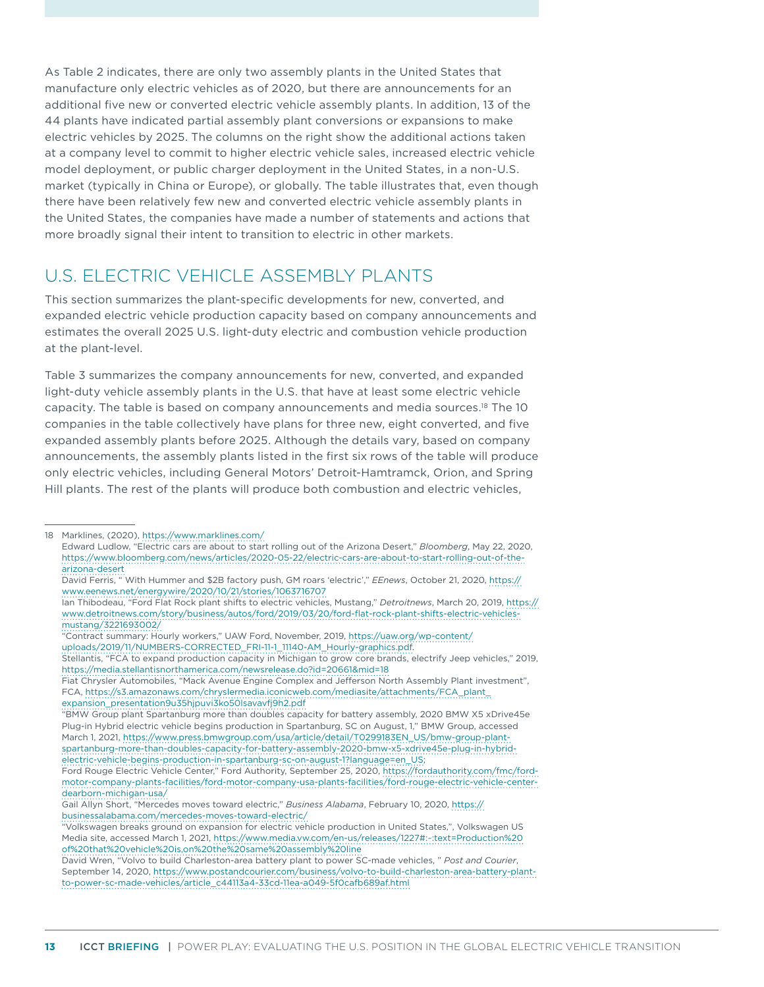As Table 2 indicates, there are only two assembly plants in the United States that manufacture only electric vehicles as of 2020, but there are announcements for an additional five new or converted electric vehicle assembly plants. In addition, 13 of the 44 plants have indicated partial assembly plant conversions or expansions to make electric vehicles by 2025. The columns on the right show the additional actions taken at a company level to commit to higher electric vehicle sales, increased electric vehicle model deployment, or public charger deployment in the United States, in a non-U.S. market (typically in China or Europe), or globally. The table illustrates that, even though there have been relatively few new and converted electric vehicle assembly plants in the United States, the companies have made a number of statements and actions that more broadly signal their intent to transition to electric in other markets.

## U.S. ELECTRIC VEHICLE ASSEMBLY PLANTS

This section summarizes the plant-specific developments for new, converted, and expanded electric vehicle production capacity based on company announcements and estimates the overall 2025 U.S. light-duty electric and combustion vehicle production at the plant-level.

Table 3 summarizes the company announcements for new, converted, and expanded light-duty vehicle assembly plants in the U.S. that have at least some electric vehicle capacity. The table is based on company announcements and media sources.18 The 10 companies in the table collectively have plans for three new, eight converted, and five expanded assembly plants before 2025. Although the details vary, based on company announcements, the assembly plants listed in the first six rows of the table will produce only electric vehicles, including General Motors' Detroit-Hamtramck, Orion, and Spring Hill plants. The rest of the plants will produce both combustion and electric vehicles,

<sup>18</sup> Marklines, (2020),<https://www.marklines.com/> Edward Ludlow, "Electric cars are about to start rolling out of the Arizona Desert," *Bloomberg*, May 22, 2020, [https://www.bloomberg.com/news/articles/2020-05-22/electric-cars-are-about-to-start-rolling-out-of-the](https://www.bloomberg.com/news/articles/2020-05-22/electric-cars-are-about-to-start-rolling-out-of-the-arizona-desert)[arizona-desert](https://www.bloomberg.com/news/articles/2020-05-22/electric-cars-are-about-to-start-rolling-out-of-the-arizona-desert)

David Ferris, " With Hummer and \$2B factory push, GM roars 'electric'," *EEnews*, October 21, 2020, [https://](https://www.eenews.net/energywire/2020/10/21/stories/1063716707?utm_campaign=edition&utm_medium=email&utm_source=eenews%3Aenergywire) [www.eenews.net/energywire/2020/10/21/stories/1063716707](https://www.eenews.net/energywire/2020/10/21/stories/1063716707?utm_campaign=edition&utm_medium=email&utm_source=eenews%3Aenergywire)

Ian Thibodeau, "Ford Flat Rock plant shifts to electric vehicles, Mustang," *Detroitnews*, March 20, 2019, [https://](https://www.detroitnews.com/story/business/autos/ford/2019/03/20/ford-flat-rock-plant-shifts-electric-vehicles-mustang/3221693002/) [www.detroitnews.com/story/business/autos/ford/2019/03/20/ford-flat-rock-plant-shifts-electric-vehicles](https://www.detroitnews.com/story/business/autos/ford/2019/03/20/ford-flat-rock-plant-shifts-electric-vehicles-mustang/3221693002/)[mustang/3221693002/](https://www.detroitnews.com/story/business/autos/ford/2019/03/20/ford-flat-rock-plant-shifts-electric-vehicles-mustang/3221693002/)

<sup>&</sup>quot;Contract summary: Hourly workers," UAW Ford, November, 2019, [https://uaw.org/wp-content/](https://uaw.org/wp-content/uploads/2019/11/NUMBERS-CORRECTED_FRI-11-1_11140-AM_Hourly-graphics.pdf) [uploads/2019/11/NUMBERS-CORRECTED\\_FRI-11-1\\_11140-AM\\_Hourly-graphics.pdf](https://uaw.org/wp-content/uploads/2019/11/NUMBERS-CORRECTED_FRI-11-1_11140-AM_Hourly-graphics.pdf).

Stellantis, "FCA to expand production capacity in Michigan to grow core brands, electrify Jeep vehicles," 2019, <https://media.stellantisnorthamerica.com/newsrelease.do?id=20661&mid=18>

Fiat Chrysler Automobiles, "Mack Avenue Engine Complex and Jefferson North Assembly Plant investment", FCA, [https://s3.amazonaws.com/chryslermedia.iconicweb.com/mediasite/attachments/FCA\\_plant\\_](https://s3.amazonaws.com/chryslermedia.iconicweb.com/mediasite/attachments/FCA_plant_expansion_presentation9u35hjpuvi3ko50lsavavfj9h2.pdf) [expansion\\_presentation9u35hjpuvi3ko50lsavavfj9h2.pdf](https://s3.amazonaws.com/chryslermedia.iconicweb.com/mediasite/attachments/FCA_plant_expansion_presentation9u35hjpuvi3ko50lsavavfj9h2.pdf)

<sup>&</sup>quot;BMW Group plant Spartanburg more than doubles capacity for battery assembly, 2020 BMW X5 xDrive45e Plug-in Hybrid electric vehicle begins production in Spartanburg, SC on August, 1," BMW Group, accessed March 1, 2021, [https://www.press.bmwgroup.com/usa/article/detail/T0299183EN\\_US/bmw-group-plant](https://www.press.bmwgroup.com/usa/article/detail/T0299183EN_US/bmw-group-plant-spartanburg-more-than-doubles-capacity-for-battery-assembly-2020-bmw-x5-xdrive45e-plug-in-hybrid-electric-vehicle-begins-production-in-spartanburg-sc-on-august-1?language=en_US)[spartanburg-more-than-doubles-capacity-for-battery-assembly-2020-bmw-x5-xdrive45e-plug-in-hybrid](https://www.press.bmwgroup.com/usa/article/detail/T0299183EN_US/bmw-group-plant-spartanburg-more-than-doubles-capacity-for-battery-assembly-2020-bmw-x5-xdrive45e-plug-in-hybrid-electric-vehicle-begins-production-in-spartanburg-sc-on-august-1?language=en_US)[electric-vehicle-begins-production-in-spartanburg-sc-on-august-1?language=en\\_US](https://www.press.bmwgroup.com/usa/article/detail/T0299183EN_US/bmw-group-plant-spartanburg-more-than-doubles-capacity-for-battery-assembly-2020-bmw-x5-xdrive45e-plug-in-hybrid-electric-vehicle-begins-production-in-spartanburg-sc-on-august-1?language=en_US);

Ford Rouge Electric Vehicle Center," Ford Authority, September 25, 2020, [https://fordauthority.com/fmc/ford](https://fordauthority.com/fmc/ford-motor-company-plants-facilities/ford-motor-company-usa-plants-facilities/ford-rouge-electric-vehicle-center-dearborn-michigan-usa/)[motor-company-plants-facilities/ford-motor-company-usa-plants-facilities/ford-rouge-electric-vehicle-center](https://fordauthority.com/fmc/ford-motor-company-plants-facilities/ford-motor-company-usa-plants-facilities/ford-rouge-electric-vehicle-center-dearborn-michigan-usa/)[dearborn-michigan-usa/](https://fordauthority.com/fmc/ford-motor-company-plants-facilities/ford-motor-company-usa-plants-facilities/ford-rouge-electric-vehicle-center-dearborn-michigan-usa/)

Gail Allyn Short, "Mercedes moves toward electric," *Business Alabama*, February 10, 2020, [https://](https://businessalabama.com/mercedes-moves-toward-electric/) [businessalabama.com/mercedes-moves-toward-electric/](https://businessalabama.com/mercedes-moves-toward-electric/)

<sup>&</sup>quot;Volkswagen breaks ground on expansion for electric vehicle production in United States,", Volkswagen US Media site, accessed March 1, 2021, [https://www.media.vw.com/en-us/releases/1227#:~:text=Production%20](https://www.media.vw.com/en-us/releases/1227#:~:text=Production of that vehicle is,on the same assembly line) [of%20that%20vehicle%20is,on%20the%20same%20assembly%20line](https://www.media.vw.com/en-us/releases/1227#:~:text=Production of that vehicle is,on the same assembly line)

David Wren, "Volvo to build Charleston-area battery plant to power SC-made vehicles, " *Post and Courier*, September 14, 2020, [https://www.postandcourier.com/business/volvo-to-build-charleston-area-battery-plant](https://www.postandcourier.com/business/volvo-to-build-charleston-area-battery-plant-to-power-sc-made-vehicles/article_c44113a4-33cd-11ea-a049-5f0cafb689af.html)[to-power-sc-made-vehicles/article\\_c44113a4-33cd-11ea-a049-5f0cafb689af.html](https://www.postandcourier.com/business/volvo-to-build-charleston-area-battery-plant-to-power-sc-made-vehicles/article_c44113a4-33cd-11ea-a049-5f0cafb689af.html)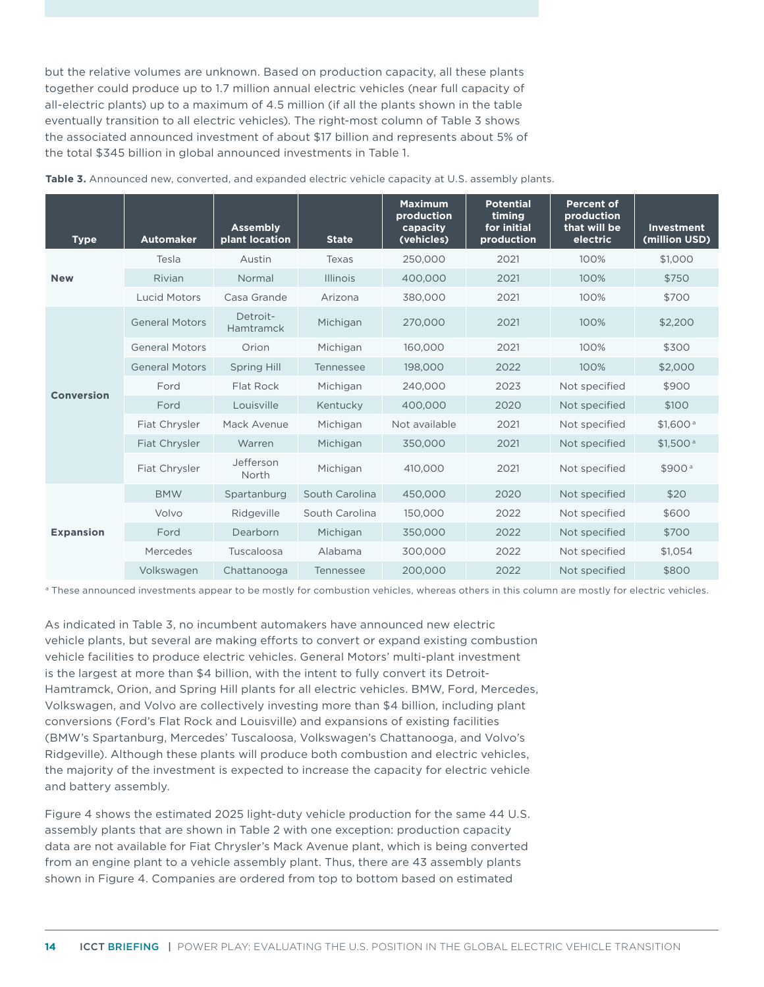but the relative volumes are unknown. Based on production capacity, all these plants together could produce up to 1.7 million annual electric vehicles (near full capacity of all-electric plants) up to a maximum of 4.5 million (if all the plants shown in the table eventually transition to all electric vehicles). The right-most column of Table 3 shows the associated announced investment of about \$17 billion and represents about 5% of the total \$345 billion in global announced investments in [Table 1](#page-3-0).

| <b>Type</b>      | <b>Automaker</b>      | <b>Assembly</b><br>plant location | <b>State</b>    | <b>Maximum</b><br>production<br>capacity<br>(vehicles) | <b>Potential</b><br>timing<br>for initial<br>production | <b>Percent of</b><br>production<br>that will be<br>electric | Investment<br>(million USD) |
|------------------|-----------------------|-----------------------------------|-----------------|--------------------------------------------------------|---------------------------------------------------------|-------------------------------------------------------------|-----------------------------|
|                  | Tesla                 | Austin                            | Texas           | 250,000                                                | 2021                                                    | 100%                                                        | \$1,000                     |
| <b>New</b>       | Rivian                | Normal                            | <b>Illinois</b> | 400,000                                                | 2021                                                    | 100%                                                        | \$750                       |
|                  | <b>Lucid Motors</b>   | Casa Grande                       | Arizona         | 380,000                                                | 2021                                                    | 100%                                                        | \$700                       |
|                  | <b>General Motors</b> | Detroit-<br><b>Hamtramck</b>      | Michigan        | 270,000                                                | 2021                                                    | 100%                                                        | \$2,200                     |
|                  | <b>General Motors</b> | Orion                             | Michigan        | 160,000                                                | 2021                                                    | 100%                                                        | \$300                       |
| Conversion       | <b>General Motors</b> | <b>Spring Hill</b>                | Tennessee       | 198,000                                                | 2022                                                    | 100%                                                        | \$2,000                     |
|                  | Ford                  | Flat Rock                         | Michigan        | 240,000                                                | 2023                                                    | Not specified                                               | \$900                       |
|                  | Ford                  | Louisville                        | Kentucky        | 400,000                                                | 2020                                                    | Not specified                                               | \$100                       |
|                  | Fiat Chrysler         | Mack Avenue                       | Michigan        | Not available                                          | 2021                                                    | Not specified                                               | \$1.600 <sup>a</sup>        |
|                  | Fiat Chrysler         | Warren                            | Michigan        | 350,000                                                | 2021                                                    | Not specified                                               | \$1,500 <sup>a</sup>        |
|                  | Fiat Chrysler         | Jefferson<br>North                | Michigan        | 410,000                                                | 2021                                                    | Not specified                                               | \$900 <sup>a</sup>          |
| <b>Expansion</b> | <b>BMW</b>            | Spartanburg                       | South Carolina  | 450,000                                                | 2020                                                    | Not specified                                               | \$20                        |
|                  | Volvo                 | Ridgeville                        | South Carolina  | 150,000                                                | 2022                                                    | Not specified                                               | \$600                       |
|                  | Ford                  | Dearborn                          | Michigan        | 350,000                                                | 2022                                                    | Not specified                                               | \$700                       |
|                  | Mercedes              | Tuscaloosa                        | Alabama         | 300,000                                                | 2022                                                    | Not specified                                               | \$1,054                     |
|                  | Volkswagen            | Chattanooga                       | Tennessee       | 200,000                                                | 2022                                                    | Not specified                                               | \$800                       |

**Table 3.** Announced new, converted, and expanded electric vehicle capacity at U.S. assembly plants.

<sup>a</sup> These announced investments appear to be mostly for combustion vehicles, whereas others in this column are mostly for electric vehicles.

As indicated in Table 3, no incumbent automakers have announced new electric vehicle plants, but several are making efforts to convert or expand existing combustion vehicle facilities to produce electric vehicles. General Motors' multi-plant investment is the largest at more than \$4 billion, with the intent to fully convert its Detroit-Hamtramck, Orion, and Spring Hill plants for all electric vehicles. BMW, Ford, Mercedes, Volkswagen, and Volvo are collectively investing more than \$4 billion, including plant conversions (Ford's Flat Rock and Louisville) and expansions of existing facilities (BMW's Spartanburg, Mercedes' Tuscaloosa, Volkswagen's Chattanooga, and Volvo's Ridgeville). Although these plants will produce both combustion and electric vehicles, the majority of the investment is expected to increase the capacity for electric vehicle and battery assembly.

[Figure 4](#page-14-0) shows the estimated 2025 light-duty vehicle production for the same 44 U.S. assembly plants that are shown in [Table](#page-11-0) 2 with one exception: production capacity data are not available for Fiat Chrysler's Mack Avenue plant, which is being converted from an engine plant to a vehicle assembly plant. Thus, there are 43 assembly plants shown in [Figure](#page-14-0) 4. Companies are ordered from top to bottom based on estimated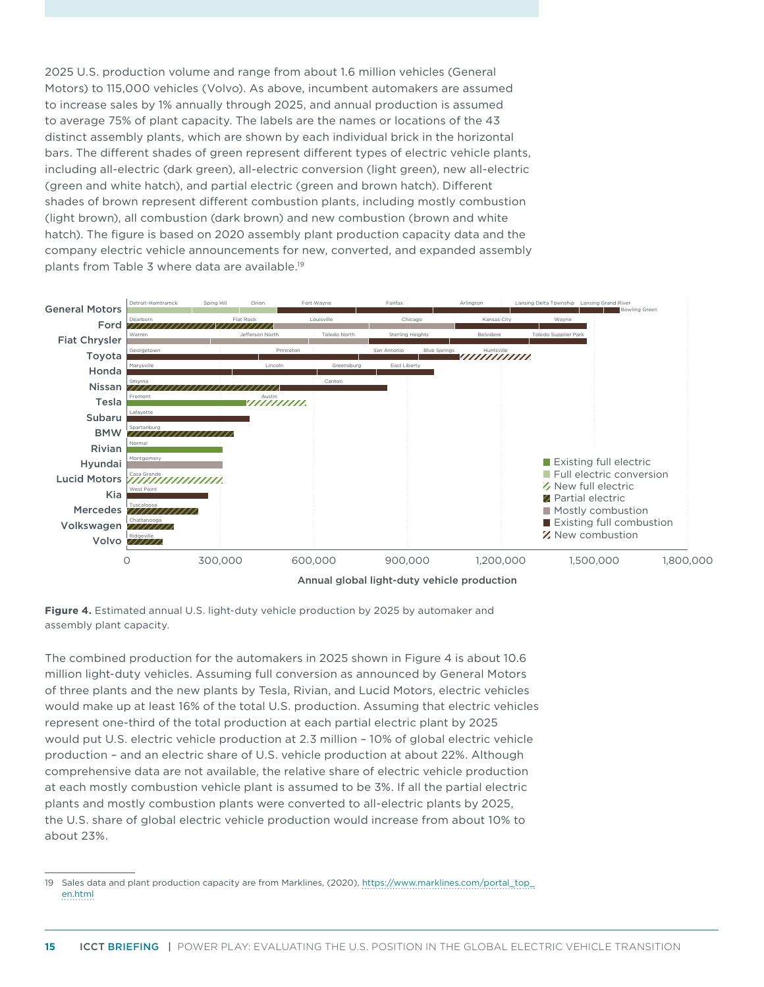2025 U.S. production volume and range from about 1.6 million vehicles (General Motors) to 115,000 vehicles (Volvo). As above, incumbent automakers are assumed to increase sales by 1% annually through 2025, and annual production is assumed to average 75% of plant capacity. The labels are the names or locations of the 43 distinct assembly plants, which are shown by each individual brick in the horizontal bars. The different shades of green represent different types of electric vehicle plants, including all-electric (dark green), all-electric conversion (light green), new all-electric (green and white hatch), and partial electric (green and brown hatch). Different shades of brown represent different combustion plants, including mostly combustion (light brown), all combustion (dark brown) and new combustion (brown and white hatch). The figure is based on 2020 assembly plant production capacity data and the company electric vehicle announcements for new, converted, and expanded assembly plants from Table 3 where data are available.19



<span id="page-14-0"></span>

The combined production for the automakers in 2025 shown in [Figure](#page-14-0) 4 is about 10.6 million light-duty vehicles. Assuming full conversion as announced by General Motors of three plants and the new plants by Tesla, Rivian, and Lucid Motors, electric vehicles would make up at least 16% of the total U.S. production. Assuming that electric vehicles represent one-third of the total production at each partial electric plant by 2025 would put U.S. electric vehicle production at 2.3 million – 10% of global electric vehicle production – and an electric share of U.S. vehicle production at about 22%. Although comprehensive data are not available, the relative share of electric vehicle production at each mostly combustion vehicle plant is assumed to be 3%. If all the partial electric plants and mostly combustion plants were converted to all-electric plants by 2025, the U.S. share of global electric vehicle production would increase from about 10% to about 23%.

<sup>19</sup> Sales data and plant production capacity are from Marklines, (2020), [https://www.marklines.com/portal\\_top\\_](https://www.marklines.com/portal_top_en.html) [en.html](https://www.marklines.com/portal_top_en.html)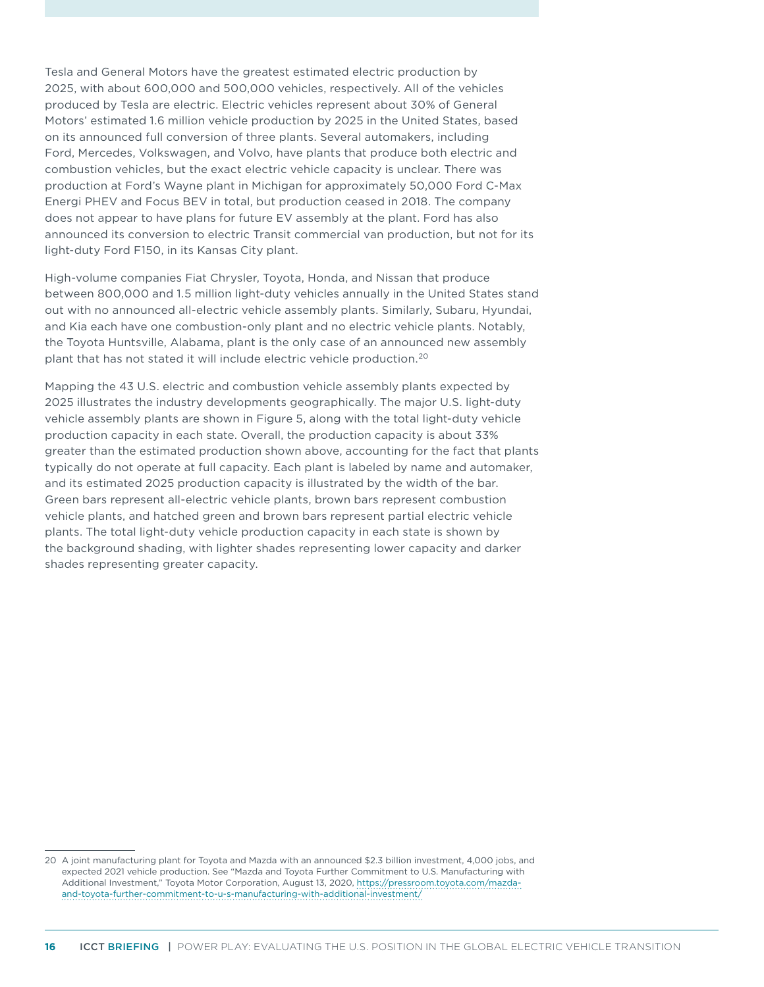Tesla and General Motors have the greatest estimated electric production by 2025, with about 600,000 and 500,000 vehicles, respectively. All of the vehicles produced by Tesla are electric. Electric vehicles represent about 30% of General Motors' estimated 1.6 million vehicle production by 2025 in the United States, based on its announced full conversion of three plants. Several automakers, including Ford, Mercedes, Volkswagen, and Volvo, have plants that produce both electric and combustion vehicles, but the exact electric vehicle capacity is unclear. There was production at Ford's Wayne plant in Michigan for approximately 50,000 Ford C-Max Energi PHEV and Focus BEV in total, but production ceased in 2018. The company does not appear to have plans for future EV assembly at the plant. Ford has also announced its conversion to electric Transit commercial van production, but not for its light-duty Ford F150, in its Kansas City plant.

High-volume companies Fiat Chrysler, Toyota, Honda, and Nissan that produce between 800,000 and 1.5 million light-duty vehicles annually in the United States stand out with no announced all-electric vehicle assembly plants. Similarly, Subaru, Hyundai, and Kia each have one combustion-only plant and no electric vehicle plants. Notably, the Toyota Huntsville, Alabama, plant is the only case of an announced new assembly plant that has not stated it will include electric vehicle production.20

Mapping the 43 U.S. electric and combustion vehicle assembly plants expected by 2025 illustrates the industry developments geographically. The major U.S. light-duty vehicle assembly plants are shown in [Figure 5](#page-16-0), along with the total light-duty vehicle production capacity in each state. Overall, the production capacity is about 33% greater than the estimated production shown above, accounting for the fact that plants typically do not operate at full capacity. Each plant is labeled by name and automaker, and its estimated 2025 production capacity is illustrated by the width of the bar. Green bars represent all-electric vehicle plants, brown bars represent combustion vehicle plants, and hatched green and brown bars represent partial electric vehicle plants. The total light-duty vehicle production capacity in each state is shown by the background shading, with lighter shades representing lower capacity and darker shades representing greater capacity.

<sup>20</sup> A joint manufacturing plant for Toyota and Mazda with an announced \$2.3 billion investment, 4,000 jobs, and expected 2021 vehicle production. See "Mazda and Toyota Further Commitment to U.S. Manufacturing with Additional Investment," Toyota Motor Corporation, August 13, 2020, [https://pressroom.toyota.com/mazda](https://pressroom.toyota.com/mazda-and-toyota-further-commitment-to-u-s-manufacturing-with-additional-investment/)[and-toyota-further-commitment-to-u-s-manufacturing-with-additional-investment/](https://pressroom.toyota.com/mazda-and-toyota-further-commitment-to-u-s-manufacturing-with-additional-investment/)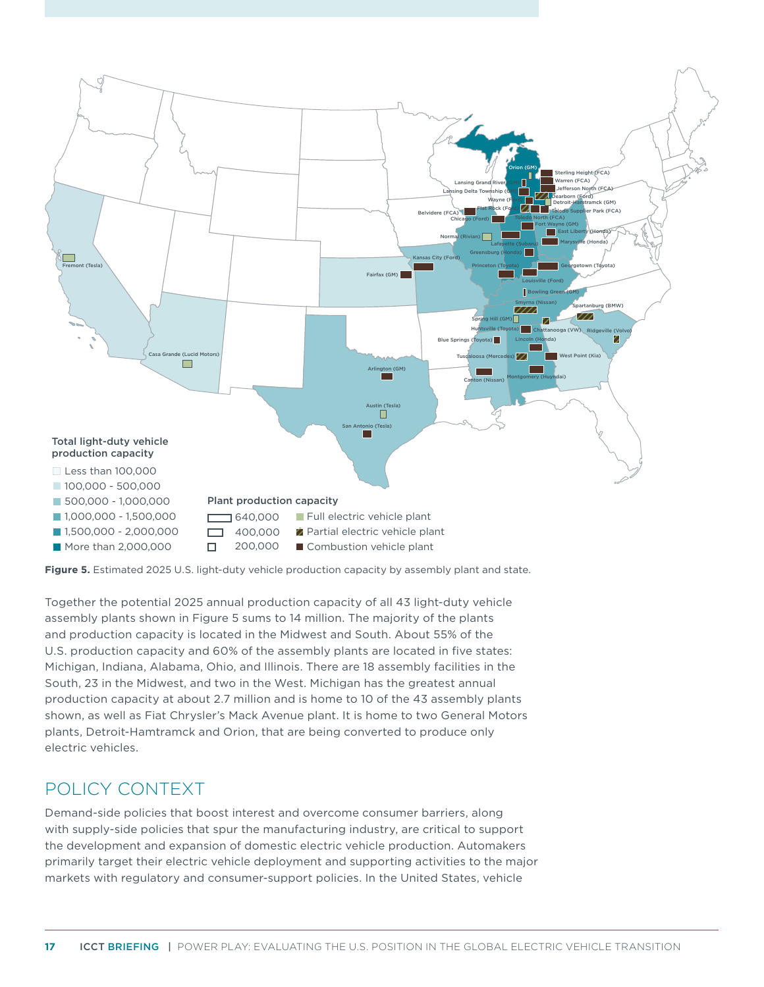

<span id="page-16-0"></span>**Figure 5.** Estimated 2025 U.S. light-duty vehicle production capacity by assembly plant and state.

Together the potential 2025 annual production capacity of all 43 light-duty vehicle assembly plants shown in [Figure 5](#page-16-0) sums to 14 million. The majority of the plants and production capacity is located in the Midwest and South. About 55% of the U.S. production capacity and 60% of the assembly plants are located in five states: Michigan, Indiana, Alabama, Ohio, and Illinois. There are 18 assembly facilities in the South, 23 in the Midwest, and two in the West. Michigan has the greatest annual production capacity at about 2.7 million and is home to 10 of the 43 assembly plants shown, as well as Fiat Chrysler's Mack Avenue plant. It is home to two General Motors plants, Detroit-Hamtramck and Orion, that are being converted to produce only electric vehicles.

# POLICY CONTEXT

Demand-side policies that boost interest and overcome consumer barriers, along with supply-side policies that spur the manufacturing industry, are critical to support the development and expansion of domestic electric vehicle production. Automakers primarily target their electric vehicle deployment and supporting activities to the major markets with regulatory and consumer-support policies. In the United States, vehicle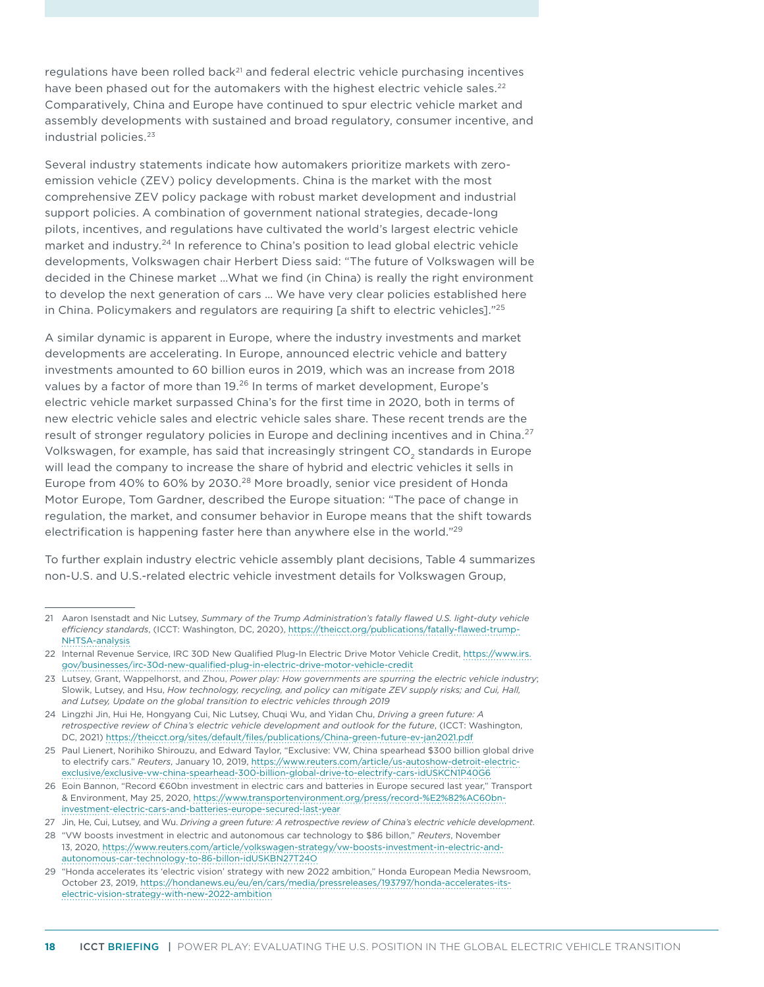regulations have been rolled back<sup>21</sup> and federal electric vehicle purchasing incentives have been phased out for the automakers with the highest electric vehicle sales.<sup>22</sup> Comparatively, China and Europe have continued to spur electric vehicle market and assembly developments with sustained and broad regulatory, consumer incentive, and industrial policies.<sup>23</sup>

Several industry statements indicate how automakers prioritize markets with zeroemission vehicle (ZEV) policy developments. China is the market with the most comprehensive ZEV policy package with robust market development and industrial support policies. A combination of government national strategies, decade-long pilots, incentives, and regulations have cultivated the world's largest electric vehicle market and industry.<sup>24</sup> In reference to China's position to lead global electric vehicle developments, Volkswagen chair Herbert Diess said: "The future of Volkswagen will be decided in the Chinese market …What we find (in China) is really the right environment to develop the next generation of cars … We have very clear policies established here in China. Policymakers and regulators are requiring [a shift to electric vehicles]."25

A similar dynamic is apparent in Europe, where the industry investments and market developments are accelerating. In Europe, announced electric vehicle and battery investments amounted to 60 billion euros in 2019, which was an increase from 2018 values by a factor of more than 19.<sup>26</sup> In terms of market development, Europe's electric vehicle market surpassed China's for the first time in 2020, both in terms of new electric vehicle sales and electric vehicle sales share. These recent trends are the result of stronger regulatory policies in Europe and declining incentives and in China.<sup>27</sup> Volkswagen, for example, has said that increasingly stringent CO<sub>2</sub> standards in Europe will lead the company to increase the share of hybrid and electric vehicles it sells in Europe from 40% to 60% by 2030.<sup>28</sup> More broadly, senior vice president of Honda Motor Europe, Tom Gardner, described the Europe situation: "The pace of change in regulation, the market, and consumer behavior in Europe means that the shift towards electrification is happening faster here than anywhere else in the world."29

To further explain industry electric vehicle assembly plant decisions, Table 4 summarizes non-U.S. and U.S.-related electric vehicle investment details for Volkswagen Group,

<sup>21</sup> Aaron Isenstadt and Nic Lutsey, *Summary of the Trump Administration's fatally flawed U.S. light-duty vehicle efficiency standards*, (ICCT: Washington, DC, 2020), [https://theicct.org/publications/fatally-flawed-trump-](https://theicct.org/publications/fatally-flawed-trump-NHTSA-analysis)[NHTSA-analysis](https://theicct.org/publications/fatally-flawed-trump-NHTSA-analysis)

<sup>22</sup> Internal Revenue Service, IRC 30D New Qualified Plug-In Electric Drive Motor Vehicle Credit, [https://www.irs.](https://www.irs.gov/businesses/irc-30d-new-qualified-plug-in-electric-drive-motor-vehicle-credit) [gov/businesses/irc-30d-new-qualified-plug-in-electric-drive-motor-vehicle-credit](https://www.irs.gov/businesses/irc-30d-new-qualified-plug-in-electric-drive-motor-vehicle-credit)

<sup>23</sup> Lutsey, Grant, Wappelhorst, and Zhou, *Power play: How governments are spurring the electric vehicle industry*; Slowik, Lutsey, and Hsu, *How technology, recycling, and policy can mitigate ZEV supply risks; and Cui, Hall, and Lutsey, Update on the global transition to electric vehicles through 2019*

<sup>24</sup> Lingzhi Jin, Hui He, Hongyang Cui, Nic Lutsey, Chuqi Wu, and Yidan Chu, *Driving a green future: A retrospective review of China's electric vehicle development and outlook for the future*, (ICCT: Washington, DC, 2021) <https://theicct.org/sites/default/files/publications/China-green-future-ev-jan2021.pdf>

<sup>25</sup> Paul Lienert, Norihiko Shirouzu, and Edward Taylor, "Exclusive: VW, China spearhead \$300 billion global drive to electrify cars." *Reuters*, January 10, 2019, https://www.reuters.com/article/us-autoshow-detroit-electricexclusive/exclusive-vw-china-spearhead-300-billion-global-drive-to-electrify-cars-idUSKCN1P40G6

<sup>26</sup> Eoin Bannon, "Record €60bn investment in electric cars and batteries in Europe secured last year," Transport & Environment, May 25, 2020, [https://www.transportenvironment.org/press/record-%E2%82%AC60bn](https://www.transportenvironment.org/press/record-%E2%82%AC60bn-investment-electric-cars-and-batteries-europe-secured-last-year)[investment-electric-cars-and-batteries-europe-secured-last-year](https://www.transportenvironment.org/press/record-%E2%82%AC60bn-investment-electric-cars-and-batteries-europe-secured-last-year)

<sup>27</sup> Jin, He, Cui, Lutsey, and Wu. *Driving a green future: A retrospective review of China's electric vehicle development*.

<sup>28</sup> "VW boosts investment in electric and autonomous car technology to \$86 billon," *Reuters*, November 13, 2020, [https://www.reuters.com/article/volkswagen-strategy/vw-boosts-investment-in-electric-and](https://www.reuters.com/article/volkswagen-strategy/vw-boosts-investment-in-electric-and-autonomous-car-technology-to-86-billon-idUSKBN27T24O)[autonomous-car-technology-to-86-billon-idUSKBN27T24O](https://www.reuters.com/article/volkswagen-strategy/vw-boosts-investment-in-electric-and-autonomous-car-technology-to-86-billon-idUSKBN27T24O)

<sup>29</sup> "Honda accelerates its 'electric vision' strategy with new 2022 ambition," Honda European Media Newsroom, October 23, 2019, [https://hondanews.eu/eu/en/cars/media/pressreleases/193797/honda-accelerates-its](https://hondanews.eu/eu/en/cars/media/pressreleases/193797/honda-accelerates-its-electric-vision-strategy-with-new-2022-ambition)[electric-vision-strategy-with-new-2022-ambition](https://hondanews.eu/eu/en/cars/media/pressreleases/193797/honda-accelerates-its-electric-vision-strategy-with-new-2022-ambition)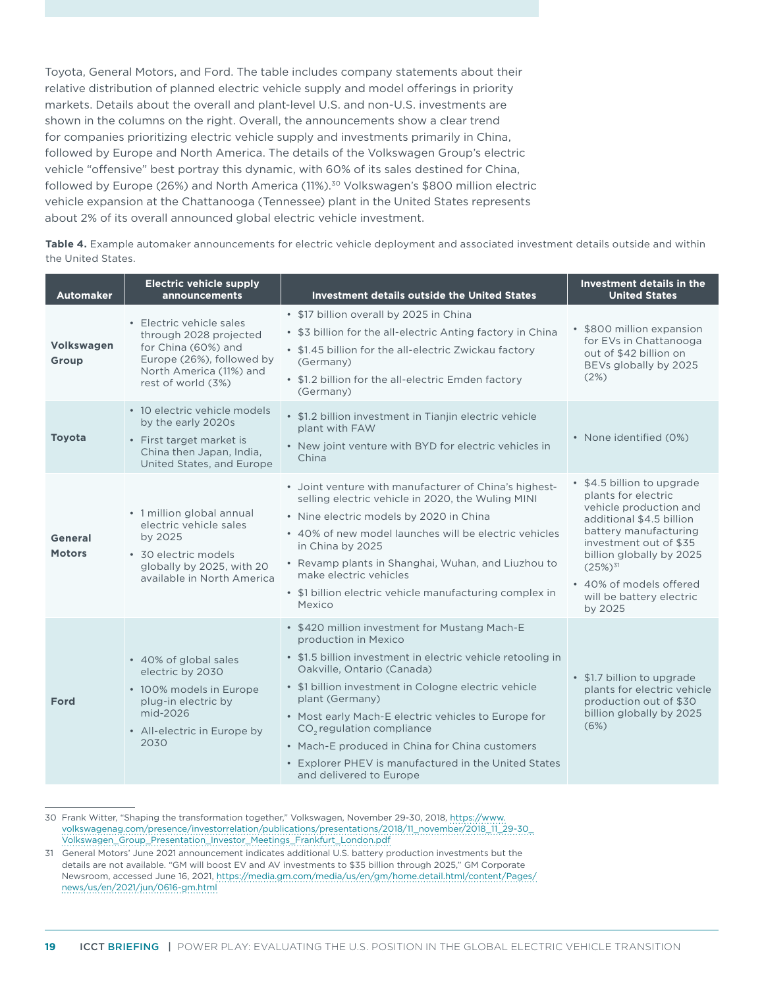Toyota, General Motors, and Ford. The table includes company statements about their relative distribution of planned electric vehicle supply and model offerings in priority markets. Details about the overall and plant-level U.S. and non-U.S. investments are shown in the columns on the right. Overall, the announcements show a clear trend for companies prioritizing electric vehicle supply and investments primarily in China, followed by Europe and North America. The details of the Volkswagen Group's electric vehicle "offensive" best portray this dynamic, with 60% of its sales destined for China, followed by Europe (26%) and North America (11%).30 Volkswagen's \$800 million electric vehicle expansion at the Chattanooga (Tennessee) plant in the United States represents about 2% of its overall announced global electric vehicle investment.

| Table 4. Example automaker announcements for electric vehicle deployment and associated investment details outside and within |
|-------------------------------------------------------------------------------------------------------------------------------|
| the United States.                                                                                                            |

| <b>Automaker</b>         | <b>Electric vehicle supply</b><br>announcements                                                                                                         | <b>Investment details outside the United States</b>                                                                                                                                                                                                                                                                                                                                                                                                                                | Investment details in the<br><b>United States</b>                                                                                                                                                                                                                        |
|--------------------------|---------------------------------------------------------------------------------------------------------------------------------------------------------|------------------------------------------------------------------------------------------------------------------------------------------------------------------------------------------------------------------------------------------------------------------------------------------------------------------------------------------------------------------------------------------------------------------------------------------------------------------------------------|--------------------------------------------------------------------------------------------------------------------------------------------------------------------------------------------------------------------------------------------------------------------------|
| Volkswagen<br>Group      | • Electric vehicle sales<br>through 2028 projected<br>for China (60%) and<br>Europe (26%), followed by<br>North America (11%) and<br>rest of world (3%) | • \$17 billion overall by 2025 in China<br>• \$3 billion for the all-electric Anting factory in China<br>• \$1.45 billion for the all-electric Zwickau factory<br>(Germany)<br>• \$1.2 billion for the all-electric Emden factory<br>(Germany)                                                                                                                                                                                                                                     | • \$800 million expansion<br>for EVs in Chattanooga<br>out of \$42 billion on<br>BEVs globally by 2025<br>(2%)                                                                                                                                                           |
| <b>Toyota</b>            | • 10 electric vehicle models<br>by the early 2020s<br>• First target market is<br>China then Japan, India,<br>United States, and Europe                 | • \$1.2 billion investment in Tianjin electric vehicle<br>plant with FAW<br>• New joint venture with BYD for electric vehicles in<br>China                                                                                                                                                                                                                                                                                                                                         | • None identified (0%)                                                                                                                                                                                                                                                   |
| General<br><b>Motors</b> | • 1 million global annual<br>electric vehicle sales<br>by 2025<br>• 30 electric models<br>globally by 2025, with 20<br>available in North America       | • Joint venture with manufacturer of China's highest-<br>selling electric vehicle in 2020, the Wuling MINI<br>· Nine electric models by 2020 in China<br>• 40% of new model launches will be electric vehicles<br>in China by 2025<br>• Revamp plants in Shanghai, Wuhan, and Liuzhou to<br>make electric vehicles<br>• \$1 billion electric vehicle manufacturing complex in<br>Mexico                                                                                            | • \$4.5 billion to upgrade<br>plants for electric<br>vehicle production and<br>additional \$4.5 billion<br>battery manufacturing<br>investment out of \$35<br>billion globally by 2025<br>$(25%)^{31}$<br>• 40% of models offered<br>will be battery electric<br>by 2025 |
| <b>Ford</b>              | • 40% of global sales<br>electric by 2030<br>• 100% models in Europe<br>plug-in electric by<br>mid-2026<br>• All-electric in Europe by<br>2030          | • \$420 million investment for Mustang Mach-E<br>production in Mexico<br>• \$1.5 billion investment in electric vehicle retooling in<br>Oakville, Ontario (Canada)<br>• \$1 billion investment in Cologne electric vehicle<br>plant (Germany)<br>• Most early Mach-E electric vehicles to Europe for<br>CO <sub>2</sub> regulation compliance<br>• Mach-E produced in China for China customers<br>• Explorer PHEV is manufactured in the United States<br>and delivered to Europe | • \$1.7 billion to upgrade<br>plants for electric vehicle<br>production out of \$30<br>billion globally by 2025<br>(6%)                                                                                                                                                  |

30 Frank Witter, "Shaping the transformation together," Volkswagen, November 29-30, 2018, [https://www.](https://www.volkswagenag.com/presence/investorrelation/publications/presentations/2018/11_november/2018_11_29-30_Volkswagen_Group_Presentation_Investor_Meetings_Frankfurt_London.pdf) [volkswagenag.com/presence/investorrelation/publications/presentations/2018/11\\_november/2018\\_11\\_29-30\\_](https://www.volkswagenag.com/presence/investorrelation/publications/presentations/2018/11_november/2018_11_29-30_Volkswagen_Group_Presentation_Investor_Meetings_Frankfurt_London.pdf) [Volkswagen\\_Group\\_Presentation\\_Investor\\_Meetings\\_Frankfurt\\_London.pdf](https://www.volkswagenag.com/presence/investorrelation/publications/presentations/2018/11_november/2018_11_29-30_Volkswagen_Group_Presentation_Investor_Meetings_Frankfurt_London.pdf)

31 General Motors' June 2021 announcement indicates additional U.S. battery production investments but the details are not available. "GM will boost EV and AV investments to \$35 billion through 2025," GM Corporate Newsroom, accessed June 16, 2021, [https://media.gm.com/media/us/en/gm/home.detail.html/content/Pages/](https://media.gm.com/media/us/en/gm/home.detail.html/content/Pages/news/us/en/2021/jun/0616-gm.html) [news/us/en/2021/jun/0616-gm.html](https://media.gm.com/media/us/en/gm/home.detail.html/content/Pages/news/us/en/2021/jun/0616-gm.html)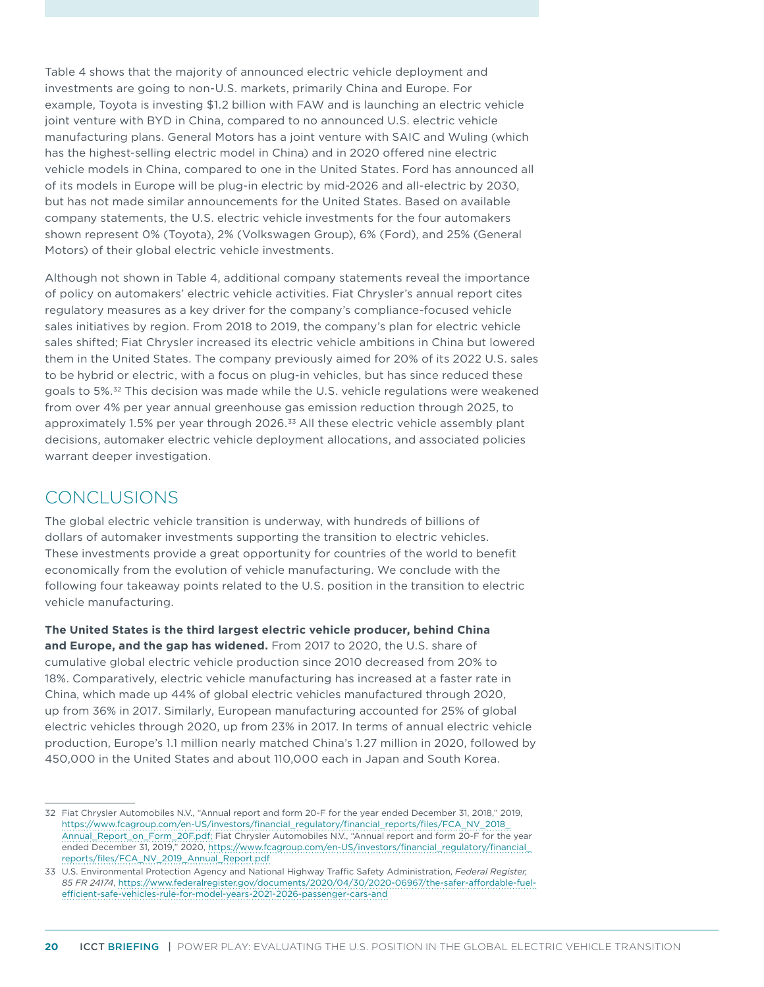Table 4 shows that the majority of announced electric vehicle deployment and investments are going to non-U.S. markets, primarily China and Europe. For example, Toyota is investing \$1.2 billion with FAW and is launching an electric vehicle joint venture with BYD in China, compared to no announced U.S. electric vehicle manufacturing plans. General Motors has a joint venture with SAIC and Wuling (which has the highest-selling electric model in China) and in 2020 offered nine electric vehicle models in China, compared to one in the United States. Ford has announced all of its models in Europe will be plug-in electric by mid-2026 and all-electric by 2030, but has not made similar announcements for the United States. Based on available company statements, the U.S. electric vehicle investments for the four automakers shown represent 0% (Toyota), 2% (Volkswagen Group), 6% (Ford), and 25% (General Motors) of their global electric vehicle investments.

Although not shown in Table 4, additional company statements reveal the importance of policy on automakers' electric vehicle activities. Fiat Chrysler's annual report cites regulatory measures as a key driver for the company's compliance-focused vehicle sales initiatives by region. From 2018 to 2019, the company's plan for electric vehicle sales shifted; Fiat Chrysler increased its electric vehicle ambitions in China but lowered them in the United States. The company previously aimed for 20% of its 2022 U.S. sales to be hybrid or electric, with a focus on plug-in vehicles, but has since reduced these goals to 5%.<sup>32</sup> This decision was made while the U.S. vehicle regulations were weakened from over 4% per year annual greenhouse gas emission reduction through 2025, to approximately 1.5% per year through 2026.<sup>33</sup> All these electric vehicle assembly plant decisions, automaker electric vehicle deployment allocations, and associated policies warrant deeper investigation.

### CONCLUSIONS

The global electric vehicle transition is underway, with hundreds of billions of dollars of automaker investments supporting the transition to electric vehicles. These investments provide a great opportunity for countries of the world to benefit economically from the evolution of vehicle manufacturing. We conclude with the following four takeaway points related to the U.S. position in the transition to electric vehicle manufacturing.

**The United States is the third largest electric vehicle producer, behind China and Europe, and the gap has widened.** From 2017 to 2020, the U.S. share of cumulative global electric vehicle production since 2010 decreased from 20% to 18%. Comparatively, electric vehicle manufacturing has increased at a faster rate in China, which made up 44% of global electric vehicles manufactured through 2020, up from 36% in 2017. Similarly, European manufacturing accounted for 25% of global electric vehicles through 2020, up from 23% in 2017. In terms of annual electric vehicle production, Europe's 1.1 million nearly matched China's 1.27 million in 2020, followed by 450,000 in the United States and about 110,000 each in Japan and South Korea.

<sup>32</sup> Fiat Chrysler Automobiles N.V., "Annual report and form 20-F for the year ended December 31, 2018," 2019, [https://www.fcagroup.com/en-US/investors/financial\\_regulatory/financial\\_reports/files/FCA\\_NV\\_2018\\_](https://www.fcagroup.com/en-US/investors/financial_regulatory/financial_reports/files/FCA_NV_2018_Annual_Report_on_Form_20F.pdf) [Annual\\_Report\\_on\\_Form\\_20F.pdf;](https://www.fcagroup.com/en-US/investors/financial_regulatory/financial_reports/files/FCA_NV_2018_Annual_Report_on_Form_20F.pdf) Fiat Chrysler Automobiles N.V., "Annual report and form 20-F for the year ended December 31, 2019," 2020, [https://www.fcagroup.com/en-US/investors/financial\\_regulatory/financial\\_](https://www.fcagroup.com/en-US/investors/financial_regulatory/financial_reports/files/FCA_NV_2019_Annual_Report.pdf) [reports/files/FCA\\_NV\\_2019\\_Annual\\_Report.pdf](https://www.fcagroup.com/en-US/investors/financial_regulatory/financial_reports/files/FCA_NV_2019_Annual_Report.pdf)

<sup>33</sup> U.S. Environmental Protection Agency and National Highway Traffic Safety Administration, *Federal Register, 85 FR 24174*, [https://www.federalregister.gov/documents/2020/04/30/2020-06967/the-safer-affordable-fuel](https://www.federalregister.gov/documents/2020/04/30/2020-06967/the-safer-affordable-fuel-efficient-safe-vehicles-rule-for-model-years-2021-2026-passenger-cars-and)[efficient-safe-vehicles-rule-for-model-years-2021-2026-passenger-cars-and](https://www.federalregister.gov/documents/2020/04/30/2020-06967/the-safer-affordable-fuel-efficient-safe-vehicles-rule-for-model-years-2021-2026-passenger-cars-and)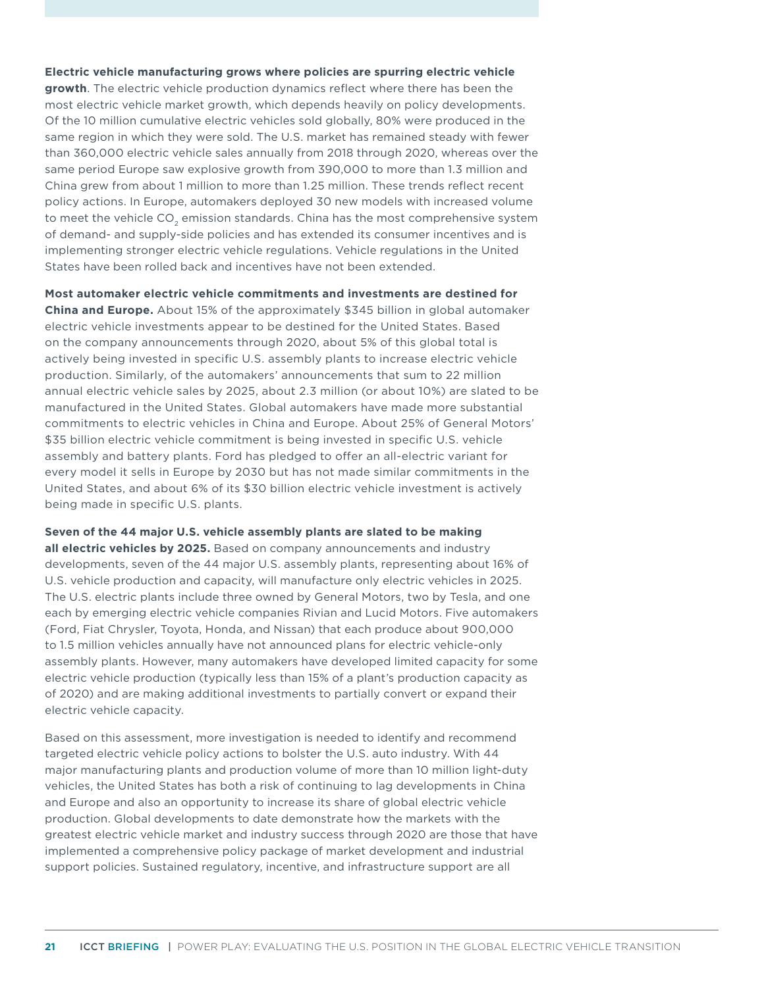#### **Electric vehicle manufacturing grows where policies are spurring electric vehicle**

**growth**. The electric vehicle production dynamics reflect where there has been the most electric vehicle market growth, which depends heavily on policy developments. Of the 10 million cumulative electric vehicles sold globally, 80% were produced in the same region in which they were sold. The U.S. market has remained steady with fewer than 360,000 electric vehicle sales annually from 2018 through 2020, whereas over the same period Europe saw explosive growth from 390,000 to more than 1.3 million and China grew from about 1 million to more than 1.25 million. These trends reflect recent policy actions. In Europe, automakers deployed 30 new models with increased volume to meet the vehicle CO<sub>2</sub> emission standards. China has the most comprehensive system of demand- and supply-side policies and has extended its consumer incentives and is implementing stronger electric vehicle regulations. Vehicle regulations in the United States have been rolled back and incentives have not been extended.

**Most automaker electric vehicle commitments and investments are destined for China and Europe.** About 15% of the approximately \$345 billion in global automaker electric vehicle investments appear to be destined for the United States. Based on the company announcements through 2020, about 5% of this global total is actively being invested in specific U.S. assembly plants to increase electric vehicle production. Similarly, of the automakers' announcements that sum to 22 million annual electric vehicle sales by 2025, about 2.3 million (or about 10%) are slated to be manufactured in the United States. Global automakers have made more substantial commitments to electric vehicles in China and Europe. About 25% of General Motors' \$35 billion electric vehicle commitment is being invested in specific U.S. vehicle assembly and battery plants. Ford has pledged to offer an all-electric variant for every model it sells in Europe by 2030 but has not made similar commitments in the United States, and about 6% of its \$30 billion electric vehicle investment is actively being made in specific U.S. plants.

#### **Seven of the 44 major U.S. vehicle assembly plants are slated to be making**

**all electric vehicles by 2025.** Based on company announcements and industry developments, seven of the 44 major U.S. assembly plants, representing about 16% of U.S. vehicle production and capacity, will manufacture only electric vehicles in 2025. The U.S. electric plants include three owned by General Motors, two by Tesla, and one each by emerging electric vehicle companies Rivian and Lucid Motors. Five automakers (Ford, Fiat Chrysler, Toyota, Honda, and Nissan) that each produce about 900,000 to 1.5 million vehicles annually have not announced plans for electric vehicle-only assembly plants. However, many automakers have developed limited capacity for some electric vehicle production (typically less than 15% of a plant's production capacity as of 2020) and are making additional investments to partially convert or expand their electric vehicle capacity.

Based on this assessment, more investigation is needed to identify and recommend targeted electric vehicle policy actions to bolster the U.S. auto industry. With 44 major manufacturing plants and production volume of more than 10 million light-duty vehicles, the United States has both a risk of continuing to lag developments in China and Europe and also an opportunity to increase its share of global electric vehicle production. Global developments to date demonstrate how the markets with the greatest electric vehicle market and industry success through 2020 are those that have implemented a comprehensive policy package of market development and industrial support policies. Sustained regulatory, incentive, and infrastructure support are all